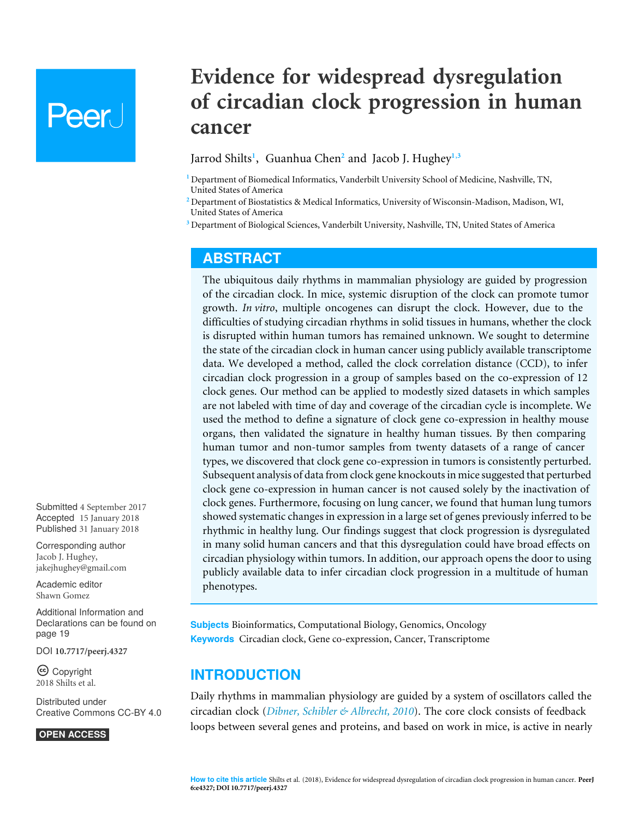# Peer l

## **Evidence for widespread dysregulation of circadian clock progression in human cancer**

<span id="page-0-5"></span><span id="page-0-4"></span><span id="page-0-3"></span>Jarrod Shilts**[1](#page-0-0)** , Guanhua Chen**[2](#page-0-1)** and Jacob J. Hughey**[1](#page-0-0)**,**[3](#page-0-2)**

<span id="page-0-0"></span>**<sup>1</sup>** Department of Biomedical Informatics, Vanderbilt University School of Medicine, Nashville, TN, United States of America

<span id="page-0-1"></span>**<sup>2</sup>** Department of Biostatistics & Medical Informatics, University of Wisconsin-Madison, Madison, WI, United States of America

<span id="page-0-2"></span>**<sup>3</sup>** Department of Biological Sciences, Vanderbilt University, Nashville, TN, United States of America

#### **ABSTRACT**

The ubiquitous daily rhythms in mammalian physiology are guided by progression of the circadian clock. In mice, systemic disruption of the clock can promote tumor growth. *In vitro*, multiple oncogenes can disrupt the clock. However, due to the difficulties of studying circadian rhythms in solid tissues in humans, whether the clock is disrupted within human tumors has remained unknown. We sought to determine the state of the circadian clock in human cancer using publicly available transcriptome data. We developed a method, called the clock correlation distance (CCD), to infer circadian clock progression in a group of samples based on the co-expression of 12 clock genes. Our method can be applied to modestly sized datasets in which samples are not labeled with time of day and coverage of the circadian cycle is incomplete. We used the method to define a signature of clock gene co-expression in healthy mouse organs, then validated the signature in healthy human tissues. By then comparing human tumor and non-tumor samples from twenty datasets of a range of cancer types, we discovered that clock gene co-expression in tumors is consistently perturbed. Subsequent analysis of data from clock gene knockouts in mice suggested that perturbed clock gene co-expression in human cancer is not caused solely by the inactivation of clock genes. Furthermore, focusing on lung cancer, we found that human lung tumors showed systematic changes in expression in a large set of genes previously inferred to be rhythmic in healthy lung. Our findings suggest that clock progression is dysregulated in many solid human cancers and that this dysregulation could have broad effects on circadian physiology within tumors. In addition, our approach opens the door to using publicly available data to infer circadian clock progression in a multitude of human phenotypes.

**Subjects** Bioinformatics, Computational Biology, Genomics, Oncology **Keywords** Circadian clock, Gene co-expression, Cancer, Transcriptome

#### **INTRODUCTION**

Daily rhythms in mammalian physiology are guided by a system of oscillators called the circadian clock (*[Dibner, Schibler & Albrecht, 2010](#page-21-0)*). The core clock consists of feedback loops between several genes and proteins, and based on work in mice, is active in nearly

Submitted 4 September 2017 Accepted 15 January 2018 Published 31 January 2018

Corresponding author Jacob J. Hughey, [jakejhughey@gmail.com](mailto:jakejhughey@gmail.com)

[Academic editor](https://peerj.com/academic-boards/editors/) [Shawn Gomez](https://peerj.com/academic-boards/editors/)

[Additional Information and](#page-18-0) [Declarations can be found on](#page-18-0) [page 19](#page-18-0)

DOI **[10.7717/peerj.4327](http://dx.doi.org/10.7717/peerj.4327)**

Copyright 2018 Shilts et al.

[Distributed under](http://creativecommons.org/licenses/by/4.0/) [Creative Commons CC-BY 4.0](http://creativecommons.org/licenses/by/4.0/)

**OPEN ACCESS**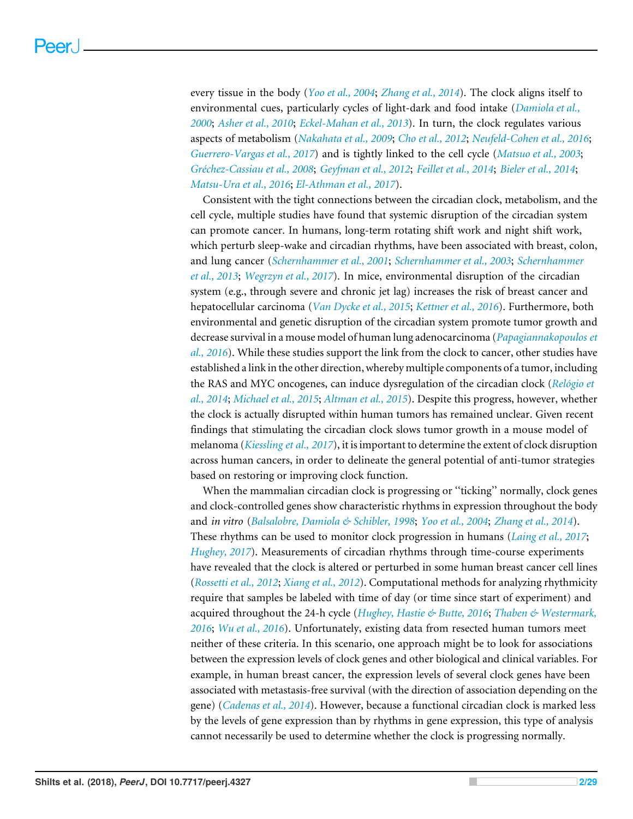every tissue in the body (*[Yoo et al., 2004](#page-28-0)*; *[Zhang et al., 2014](#page-28-1)*). The clock aligns itself to environmental cues, particularly cycles of light-dark and food intake (*[Damiola et al.,](#page-20-0) [2000](#page-20-0)*; *[Asher et al., 2010](#page-20-1)*; *[Eckel-Mahan et al., 2013](#page-21-1)*). In turn, the clock regulates various aspects of metabolism (*[Nakahata et al., 2009](#page-25-0)*; *[Cho et al., 2012](#page-20-2)*; *[Neufeld-Cohen et al., 2016](#page-25-1)*; *[Guerrero-Vargas et al., 2017](#page-22-0)*) and is tightly linked to the cell cycle (*[Matsuo et al., 2003](#page-25-2)*; *[Gréchez-Cassiau et al., 2008](#page-21-2)*; *[Geyfman et al., 2012](#page-21-3)*; *[Feillet et al., 2014](#page-21-4)*; *[Bieler et al., 2014](#page-20-3)*; *[Matsu-Ura et al., 2016](#page-24-0)*; *[El-Athman et al., 2017](#page-21-5)*).

Consistent with the tight connections between the circadian clock, metabolism, and the cell cycle, multiple studies have found that systemic disruption of the circadian system can promote cancer. In humans, long-term rotating shift work and night shift work, which perturb sleep-wake and circadian rhythms, have been associated with breast, colon, and lung cancer (*[Schernhammer et al., 2001](#page-27-0)*; *[Schernhammer et al., 2003](#page-27-1)*; *[Schernhammer](#page-27-2) [et al., 2013](#page-27-2)*; *[Wegrzyn et al., 2017](#page-28-2)*). In mice, environmental disruption of the circadian system (e.g., through severe and chronic jet lag) increases the risk of breast cancer and hepatocellular carcinoma (*[Van Dycke et al., 2015](#page-27-3)*; *[Kettner et al., 2016](#page-23-0)*). Furthermore, both environmental and genetic disruption of the circadian system promote tumor growth and decrease survival in a mouse model of human lung adenocarcinoma (*[Papagiannakopoulos et](#page-25-3) [al., 2016](#page-25-3)*). While these studies support the link from the clock to cancer, other studies have established a link in the other direction, whereby multiple components of a tumor, including the RAS and MYC oncogenes, can induce dysregulation of the circadian clock (*[Relógio et](#page-26-0) [al., 2014](#page-26-0)*; *[Michael et al., 2015](#page-25-4)*; *[Altman et al., 2015](#page-19-0)*). Despite this progress, however, whether the clock is actually disrupted within human tumors has remained unclear. Given recent findings that stimulating the circadian clock slows tumor growth in a mouse model of melanoma (*[Kiessling et al., 2017](#page-23-1)*), it is important to determine the extent of clock disruption across human cancers, in order to delineate the general potential of anti-tumor strategies based on restoring or improving clock function.

When the mammalian circadian clock is progressing or ''ticking'' normally, clock genes and clock-controlled genes show characteristic rhythms in expression throughout the body and *in vitro* (*[Balsalobre, Damiola & Schibler, 1998](#page-20-4)*; *[Yoo et al., 2004](#page-28-0)*; *[Zhang et al., 2014](#page-28-1)*). These rhythms can be used to monitor clock progression in humans (*[Laing et al., 2017](#page-23-2)*; *[Hughey, 2017](#page-22-1)*). Measurements of circadian rhythms through time-course experiments have revealed that the clock is altered or perturbed in some human breast cancer cell lines (*[Rossetti et al., 2012](#page-26-1)*; *[Xiang et al., 2012](#page-28-3)*). Computational methods for analyzing rhythmicity require that samples be labeled with time of day (or time since start of experiment) and acquired throughout the 24-h cycle (*[Hughey, Hastie & Butte, 2016](#page-23-3)*; *[Thaben & Westermark,](#page-27-4) [2016](#page-27-4)*; *[Wu et al., 2016](#page-28-4)*). Unfortunately, existing data from resected human tumors meet neither of these criteria. In this scenario, one approach might be to look for associations between the expression levels of clock genes and other biological and clinical variables. For example, in human breast cancer, the expression levels of several clock genes have been associated with metastasis-free survival (with the direction of association depending on the gene) (*[Cadenas et al., 2014](#page-20-5)*). However, because a functional circadian clock is marked less by the levels of gene expression than by rhythms in gene expression, this type of analysis cannot necessarily be used to determine whether the clock is progressing normally.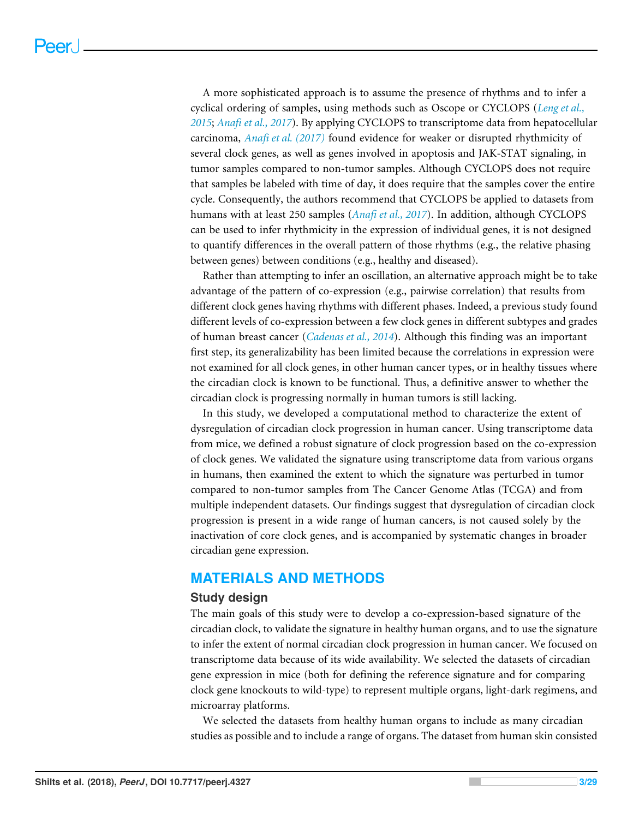A more sophisticated approach is to assume the presence of rhythms and to infer a cyclical ordering of samples, using methods such as Oscope or CYCLOPS (*[Leng et al.,](#page-24-1) [2015](#page-24-1)*; *[Anafi et al., 2017](#page-19-1)*). By applying CYCLOPS to transcriptome data from hepatocellular carcinoma, *[Anafi et al. \(2017\)](#page-19-1)* found evidence for weaker or disrupted rhythmicity of several clock genes, as well as genes involved in apoptosis and JAK-STAT signaling, in tumor samples compared to non-tumor samples. Although CYCLOPS does not require that samples be labeled with time of day, it does require that the samples cover the entire cycle. Consequently, the authors recommend that CYCLOPS be applied to datasets from humans with at least 250 samples (*[Anafi et al., 2017](#page-19-1)*). In addition, although CYCLOPS can be used to infer rhythmicity in the expression of individual genes, it is not designed to quantify differences in the overall pattern of those rhythms (e.g., the relative phasing between genes) between conditions (e.g., healthy and diseased).

Rather than attempting to infer an oscillation, an alternative approach might be to take advantage of the pattern of co-expression (e.g., pairwise correlation) that results from different clock genes having rhythms with different phases. Indeed, a previous study found different levels of co-expression between a few clock genes in different subtypes and grades of human breast cancer (*[Cadenas et al., 2014](#page-20-5)*). Although this finding was an important first step, its generalizability has been limited because the correlations in expression were not examined for all clock genes, in other human cancer types, or in healthy tissues where the circadian clock is known to be functional. Thus, a definitive answer to whether the circadian clock is progressing normally in human tumors is still lacking.

In this study, we developed a computational method to characterize the extent of dysregulation of circadian clock progression in human cancer. Using transcriptome data from mice, we defined a robust signature of clock progression based on the co-expression of clock genes. We validated the signature using transcriptome data from various organs in humans, then examined the extent to which the signature was perturbed in tumor compared to non-tumor samples from The Cancer Genome Atlas (TCGA) and from multiple independent datasets. Our findings suggest that dysregulation of circadian clock progression is present in a wide range of human cancers, is not caused solely by the inactivation of core clock genes, and is accompanied by systematic changes in broader circadian gene expression.

#### **MATERIALS AND METHODS**

#### **Study design**

The main goals of this study were to develop a co-expression-based signature of the circadian clock, to validate the signature in healthy human organs, and to use the signature to infer the extent of normal circadian clock progression in human cancer. We focused on transcriptome data because of its wide availability. We selected the datasets of circadian gene expression in mice (both for defining the reference signature and for comparing clock gene knockouts to wild-type) to represent multiple organs, light-dark regimens, and microarray platforms.

We selected the datasets from healthy human organs to include as many circadian studies as possible and to include a range of organs. The dataset from human skin consisted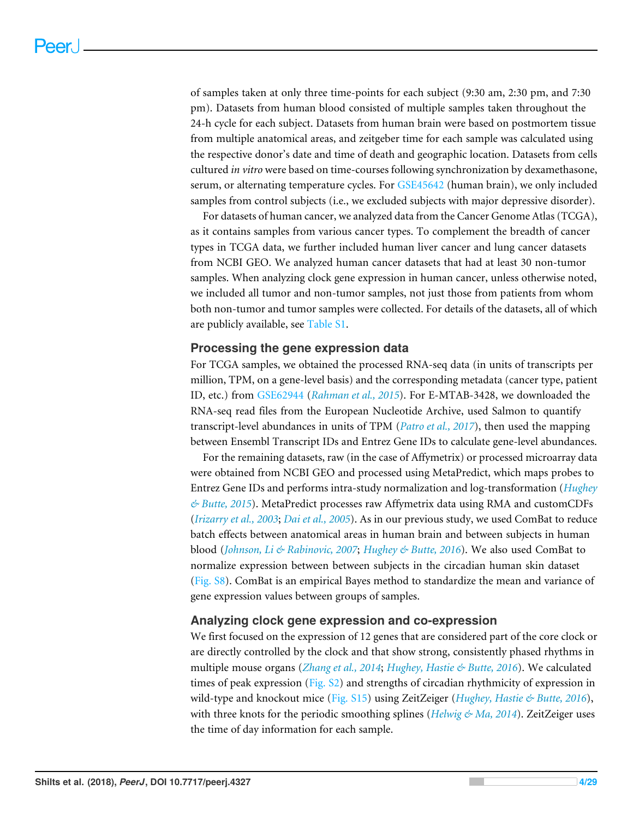of samples taken at only three time-points for each subject (9:30 am, 2:30 pm, and 7:30 pm). Datasets from human blood consisted of multiple samples taken throughout the 24-h cycle for each subject. Datasets from human brain were based on postmortem tissue from multiple anatomical areas, and zeitgeber time for each sample was calculated using the respective donor's date and time of death and geographic location. Datasets from cells cultured *in vitro* were based on time-courses following synchronization by dexamethasone, serum, or alternating temperature cycles. For [GSE45642](http://www.ncbi.nlm.nih.gov/geo/query/acc.cgi?acc=GSE45642) (human brain), we only included samples from control subjects (i.e., we excluded subjects with major depressive disorder).

For datasets of human cancer, we analyzed data from the Cancer Genome Atlas (TCGA), as it contains samples from various cancer types. To complement the breadth of cancer types in TCGA data, we further included human liver cancer and lung cancer datasets from NCBI GEO. We analyzed human cancer datasets that had at least 30 non-tumor samples. When analyzing clock gene expression in human cancer, unless otherwise noted, we included all tumor and non-tumor samples, not just those from patients from whom both non-tumor and tumor samples were collected. For details of the datasets, all of which are publicly available, see [Table S1.](http://dx.doi.org/10.7717/peerj.4327#supp-2)

#### **Processing the gene expression data**

For TCGA samples, we obtained the processed RNA-seq data (in units of transcripts per million, TPM, on a gene-level basis) and the corresponding metadata (cancer type, patient ID, etc.) from [GSE62944](http://www.ncbi.nlm.nih.gov/geo/query/acc.cgi?acc=GSE62944) (*[Rahman et al., 2015](#page-26-2)*). For E-MTAB-3428, we downloaded the RNA-seq read files from the European Nucleotide Archive, used Salmon to quantify transcript-level abundances in units of TPM (*[Patro et al., 2017](#page-26-3)*), then used the mapping between Ensembl Transcript IDs and Entrez Gene IDs to calculate gene-level abundances.

For the remaining datasets, raw (in the case of Affymetrix) or processed microarray data were obtained from NCBI GEO and processed using MetaPredict, which maps probes to Entrez Gene IDs and performs intra-study normalization and log-transformation (*[Hughey](#page-23-4) [& Butte, 2015](#page-23-4)*). MetaPredict processes raw Affymetrix data using RMA and customCDFs (*[Irizarry et al., 2003](#page-23-5)*; *[Dai et al., 2005](#page-20-6)*). As in our previous study, we used ComBat to reduce batch effects between anatomical areas in human brain and between subjects in human blood (*[Johnson, Li & Rabinovic, 2007](#page-23-6)*; *[Hughey & Butte, 2016](#page-23-7)*). We also used ComBat to normalize expression between between subjects in the circadian human skin dataset [\(Fig. S8\)](http://dx.doi.org/10.7717/peerj.4327#supp-1). ComBat is an empirical Bayes method to standardize the mean and variance of gene expression values between groups of samples.

#### **Analyzing clock gene expression and co-expression**

We first focused on the expression of 12 genes that are considered part of the core clock or are directly controlled by the clock and that show strong, consistently phased rhythms in multiple mouse organs (*[Zhang et al., 2014](#page-28-1)*; *[Hughey, Hastie & Butte, 2016](#page-23-3)*). We calculated times of peak expression [\(Fig. S2\)](http://dx.doi.org/10.7717/peerj.4327#supp-1) and strengths of circadian rhythmicity of expression in wild-type and knockout mice [\(Fig. S15\)](http://dx.doi.org/10.7717/peerj.4327#supp-1) using ZeitZeiger (*[Hughey, Hastie & Butte, 2016](#page-23-3)*), with three knots for the periodic smoothing splines (*[Helwig & Ma, 2014](#page-22-2)*). ZeitZeiger uses the time of day information for each sample.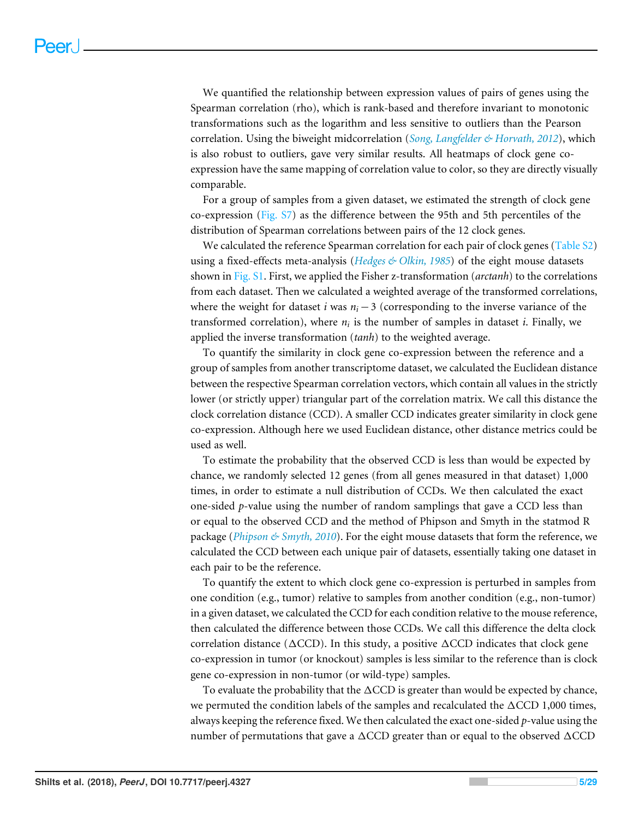We quantified the relationship between expression values of pairs of genes using the Spearman correlation (rho), which is rank-based and therefore invariant to monotonic transformations such as the logarithm and less sensitive to outliers than the Pearson correlation. Using the biweight midcorrelation (*[Song, Langfelder & Horvath, 2012](#page-27-5)*), which is also robust to outliers, gave very similar results. All heatmaps of clock gene coexpression have the same mapping of correlation value to color, so they are directly visually comparable.

For a group of samples from a given dataset, we estimated the strength of clock gene co-expression [\(Fig. S7\)](http://dx.doi.org/10.7717/peerj.4327#supp-1) as the difference between the 95th and 5th percentiles of the distribution of Spearman correlations between pairs of the 12 clock genes.

We calculated the reference Spearman correlation for each pair of clock genes [\(Table S2\)](http://dx.doi.org/10.7717/peerj.4327#supp-3) using a fixed-effects meta-analysis (*[Hedges & Olkin, 1985](#page-22-3)*) of the eight mouse datasets shown in [Fig. S1.](http://dx.doi.org/10.7717/peerj.4327#supp-1) First, we applied the Fisher z-transformation (*arctanh*) to the correlations from each dataset. Then we calculated a weighted average of the transformed correlations, where the weight for dataset *i* was  $n_i - 3$  (corresponding to the inverse variance of the transformed correlation), where *n<sup>i</sup>* is the number of samples in dataset *i*. Finally, we applied the inverse transformation (*tanh*) to the weighted average.

To quantify the similarity in clock gene co-expression between the reference and a group of samples from another transcriptome dataset, we calculated the Euclidean distance between the respective Spearman correlation vectors, which contain all values in the strictly lower (or strictly upper) triangular part of the correlation matrix. We call this distance the clock correlation distance (CCD). A smaller CCD indicates greater similarity in clock gene co-expression. Although here we used Euclidean distance, other distance metrics could be used as well.

To estimate the probability that the observed CCD is less than would be expected by chance, we randomly selected 12 genes (from all genes measured in that dataset) 1,000 times, in order to estimate a null distribution of CCDs. We then calculated the exact one-sided *p*-value using the number of random samplings that gave a CCD less than or equal to the observed CCD and the method of Phipson and Smyth in the statmod R package (*[Phipson & Smyth, 2010](#page-26-4)*). For the eight mouse datasets that form the reference, we calculated the CCD between each unique pair of datasets, essentially taking one dataset in each pair to be the reference.

To quantify the extent to which clock gene co-expression is perturbed in samples from one condition (e.g., tumor) relative to samples from another condition (e.g., non-tumor) in a given dataset, we calculated the CCD for each condition relative to the mouse reference, then calculated the difference between those CCDs. We call this difference the delta clock correlation distance ( $\triangle CCD$ ). In this study, a positive  $\triangle CCD$  indicates that clock gene co-expression in tumor (or knockout) samples is less similar to the reference than is clock gene co-expression in non-tumor (or wild-type) samples.

To evaluate the probability that the  $\triangle CCD$  is greater than would be expected by chance, we permuted the condition labels of the samples and recalculated the  $\triangle CCD$  1,000 times, always keeping the reference fixed. We then calculated the exact one-sided *p*-value using the number of permutations that gave a  $\triangle CCD$  greater than or equal to the observed  $\triangle CCD$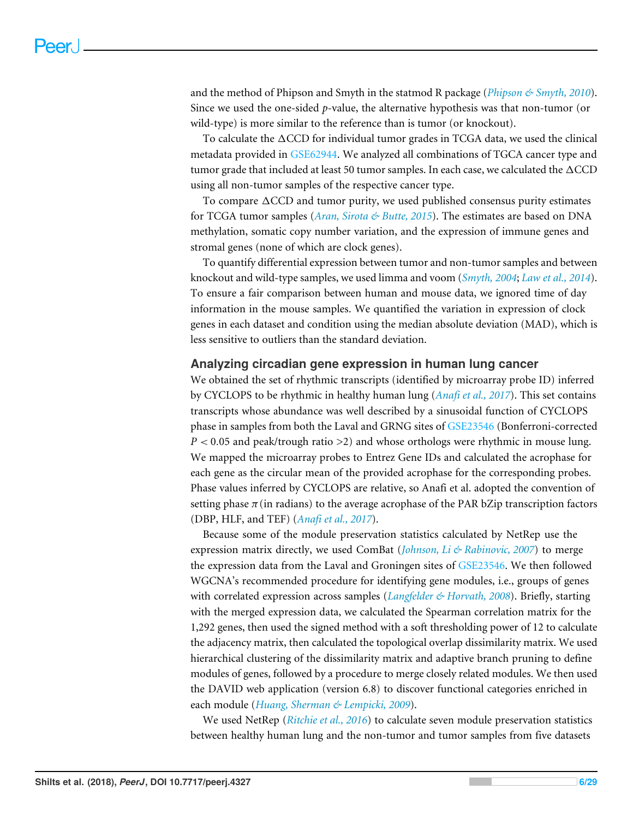and the method of Phipson and Smyth in the statmod R package (*[Phipson & Smyth, 2010](#page-26-4)*). Since we used the one-sided *p*-value, the alternative hypothesis was that non-tumor (or wild-type) is more similar to the reference than is tumor (or knockout).

To calculate the  $\triangle CCD$  for individual tumor grades in TCGA data, we used the clinical metadata provided in [GSE62944.](http://www.ncbi.nlm.nih.gov/geo/query/acc.cgi?acc=GSE62944) We analyzed all combinations of TGCA cancer type and tumor grade that included at least 50 tumor samples. In each case, we calculated the  $\triangle CCD$ using all non-tumor samples of the respective cancer type.

To compare  $\Delta$ CCD and tumor purity, we used published consensus purity estimates for TCGA tumor samples (*[Aran, Sirota & Butte, 2015](#page-19-2)*). The estimates are based on DNA methylation, somatic copy number variation, and the expression of immune genes and stromal genes (none of which are clock genes).

To quantify differential expression between tumor and non-tumor samples and between knockout and wild-type samples, we used limma and voom (*[Smyth, 2004](#page-27-6)*; *[Law et al., 2014](#page-24-2)*). To ensure a fair comparison between human and mouse data, we ignored time of day information in the mouse samples. We quantified the variation in expression of clock genes in each dataset and condition using the median absolute deviation (MAD), which is less sensitive to outliers than the standard deviation.

#### **Analyzing circadian gene expression in human lung cancer**

We obtained the set of rhythmic transcripts (identified by microarray probe ID) inferred by CYCLOPS to be rhythmic in healthy human lung (*[Anafi et al., 2017](#page-19-1)*). This set contains transcripts whose abundance was well described by a sinusoidal function of CYCLOPS phase in samples from both the Laval and GRNG sites of [GSE23546](http://www.ncbi.nlm.nih.gov/geo/query/acc.cgi?acc=GSE23546) (Bonferroni-corrected *P* < 0.05 and peak/trough ratio >2) and whose orthologs were rhythmic in mouse lung. We mapped the microarray probes to Entrez Gene IDs and calculated the acrophase for each gene as the circular mean of the provided acrophase for the corresponding probes. Phase values inferred by CYCLOPS are relative, so Anafi et al. adopted the convention of setting phase  $\pi$  (in radians) to the average acrophase of the PAR bZip transcription factors (DBP, HLF, and TEF) (*[Anafi et al., 2017](#page-19-1)*).

Because some of the module preservation statistics calculated by NetRep use the expression matrix directly, we used ComBat (*[Johnson, Li & Rabinovic, 2007](#page-23-6)*) to merge the expression data from the Laval and Groningen sites of [GSE23546.](http://www.ncbi.nlm.nih.gov/geo/query/acc.cgi?acc=GSE23546) We then followed WGCNA's recommended procedure for identifying gene modules, i.e., groups of genes with correlated expression across samples (*[Langfelder & Horvath, 2008](#page-24-3)*). Briefly, starting with the merged expression data, we calculated the Spearman correlation matrix for the 1,292 genes, then used the signed method with a soft thresholding power of 12 to calculate the adjacency matrix, then calculated the topological overlap dissimilarity matrix. We used hierarchical clustering of the dissimilarity matrix and adaptive branch pruning to define modules of genes, followed by a procedure to merge closely related modules. We then used the DAVID web application (version 6.8) to discover functional categories enriched in each module (*[Huang, Sherman & Lempicki, 2009](#page-22-4)*).

We used NetRep (*[Ritchie et al., 2016](#page-26-5)*) to calculate seven module preservation statistics between healthy human lung and the non-tumor and tumor samples from five datasets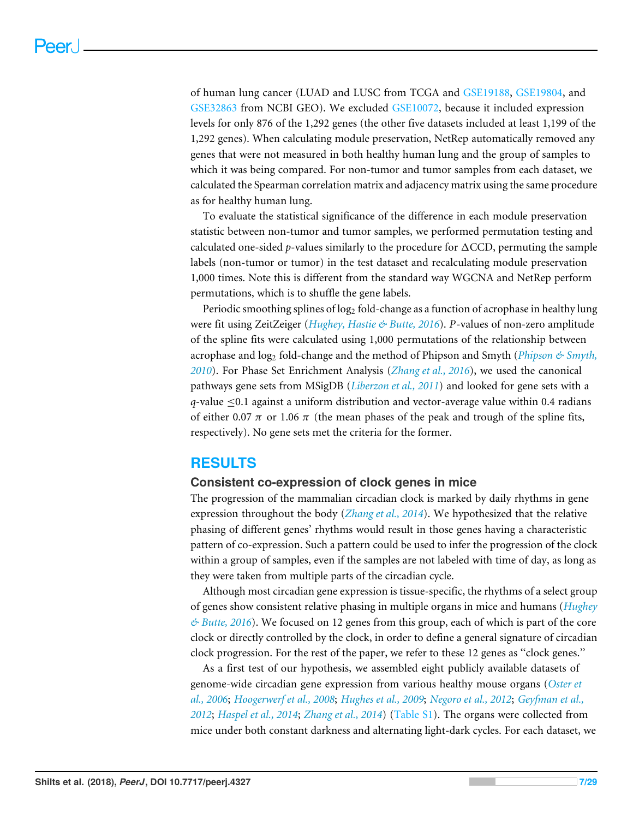of human lung cancer (LUAD and LUSC from TCGA and [GSE19188,](http://www.ncbi.nlm.nih.gov/geo/query/acc.cgi?acc=GSE19188) [GSE19804,](http://www.ncbi.nlm.nih.gov/geo/query/acc.cgi?acc=GSE19804) and [GSE32863](http://www.ncbi.nlm.nih.gov/geo/query/acc.cgi?acc=GSE32863) from NCBI GEO). We excluded [GSE10072,](http://www.ncbi.nlm.nih.gov/geo/query/acc.cgi?acc=GSE10072) because it included expression levels for only 876 of the 1,292 genes (the other five datasets included at least 1,199 of the 1,292 genes). When calculating module preservation, NetRep automatically removed any genes that were not measured in both healthy human lung and the group of samples to which it was being compared. For non-tumor and tumor samples from each dataset, we calculated the Spearman correlation matrix and adjacency matrix using the same procedure as for healthy human lung.

To evaluate the statistical significance of the difference in each module preservation statistic between non-tumor and tumor samples, we performed permutation testing and calculated one-sided  $p$ -values similarly to the procedure for  $\Delta CCD$ , permuting the sample labels (non-tumor or tumor) in the test dataset and recalculating module preservation 1,000 times. Note this is different from the standard way WGCNA and NetRep perform permutations, which is to shuffle the gene labels.

Periodic smoothing splines of log<sup>2</sup> fold-change as a function of acrophase in healthy lung were fit using ZeitZeiger (*[Hughey, Hastie & Butte, 2016](#page-23-3)*). *P*-values of non-zero amplitude of the spline fits were calculated using 1,000 permutations of the relationship between acrophase and log<sup>2</sup> fold-change and the method of Phipson and Smyth (*[Phipson & Smyth,](#page-26-4) [2010](#page-26-4)*). For Phase Set Enrichment Analysis (*[Zhang et al., 2016](#page-28-5)*), we used the canonical pathways gene sets from MSigDB (*[Liberzon et al., 2011](#page-24-4)*) and looked for gene sets with a *q*-value  $\leq 0.1$  against a uniform distribution and vector-average value within 0.4 radians of either 0.07  $\pi$  or 1.06  $\pi$  (the mean phases of the peak and trough of the spline fits, respectively). No gene sets met the criteria for the former.

#### **RESULTS**

#### **Consistent co-expression of clock genes in mice**

The progression of the mammalian circadian clock is marked by daily rhythms in gene expression throughout the body (*[Zhang et al., 2014](#page-28-1)*). We hypothesized that the relative phasing of different genes' rhythms would result in those genes having a characteristic pattern of co-expression. Such a pattern could be used to infer the progression of the clock within a group of samples, even if the samples are not labeled with time of day, as long as they were taken from multiple parts of the circadian cycle.

Although most circadian gene expression is tissue-specific, the rhythms of a select group of genes show consistent relative phasing in multiple organs in mice and humans (*[Hughey](#page-23-7) [& Butte, 2016](#page-23-7)*). We focused on 12 genes from this group, each of which is part of the core clock or directly controlled by the clock, in order to define a general signature of circadian clock progression. For the rest of the paper, we refer to these 12 genes as ''clock genes.''

As a first test of our hypothesis, we assembled eight publicly available datasets of genome-wide circadian gene expression from various healthy mouse organs (*[Oster et](#page-25-5) [al., 2006](#page-25-5)*; *[Hoogerwerf et al., 2008](#page-22-5)*; *[Hughes et al., 2009](#page-22-6)*; *[Negoro et al., 2012](#page-25-6)*; *[Geyfman et al.,](#page-21-3) [2012](#page-21-3)*; *[Haspel et al., 2014](#page-22-7)*; *[Zhang et al., 2014](#page-28-1)*) [\(Table S1\)](http://dx.doi.org/10.7717/peerj.4327#supp-2). The organs were collected from mice under both constant darkness and alternating light-dark cycles. For each dataset, we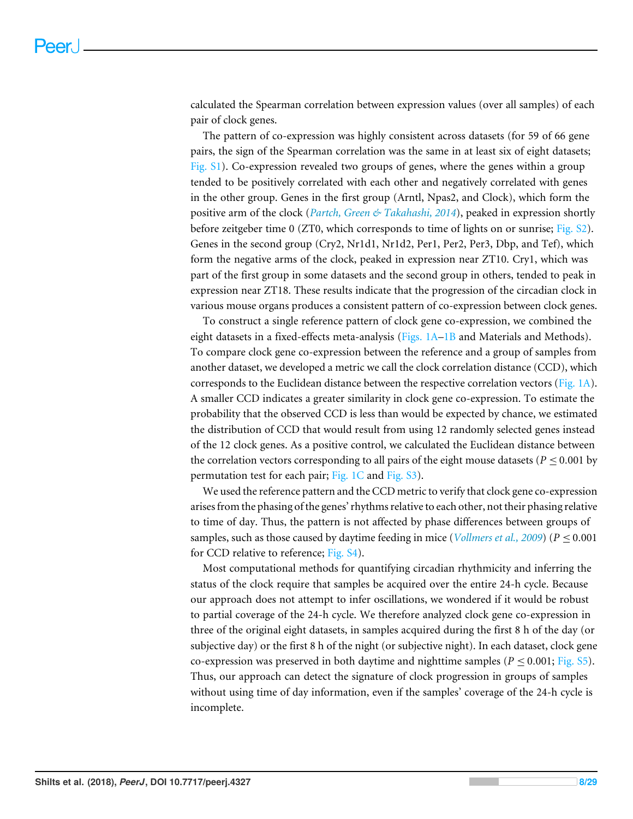calculated the Spearman correlation between expression values (over all samples) of each pair of clock genes.

The pattern of co-expression was highly consistent across datasets (for 59 of 66 gene pairs, the sign of the Spearman correlation was the same in at least six of eight datasets; [Fig. S1\)](http://dx.doi.org/10.7717/peerj.4327#supp-1). Co-expression revealed two groups of genes, where the genes within a group tended to be positively correlated with each other and negatively correlated with genes in the other group. Genes in the first group (Arntl, Npas2, and Clock), which form the positive arm of the clock (*[Partch, Green & Takahashi, 2014](#page-26-6)*), peaked in expression shortly before zeitgeber time 0 (ZT0, which corresponds to time of lights on or sunrise; [Fig. S2\)](http://dx.doi.org/10.7717/peerj.4327#supp-1). Genes in the second group (Cry2, Nr1d1, Nr1d2, Per1, Per2, Per3, Dbp, and Tef), which form the negative arms of the clock, peaked in expression near ZT10. Cry1, which was part of the first group in some datasets and the second group in others, tended to peak in expression near ZT18. These results indicate that the progression of the circadian clock in various mouse organs produces a consistent pattern of co-expression between clock genes.

To construct a single reference pattern of clock gene co-expression, we combined the eight datasets in a fixed-effects meta-analysis (Figs.  $1A-1B$  and Materials and Methods). To compare clock gene co-expression between the reference and a group of samples from another dataset, we developed a metric we call the clock correlation distance (CCD), which corresponds to the Euclidean distance between the respective correlation vectors [\(Fig. 1A\)](#page-8-0). A smaller CCD indicates a greater similarity in clock gene co-expression. To estimate the probability that the observed CCD is less than would be expected by chance, we estimated the distribution of CCD that would result from using 12 randomly selected genes instead of the 12 clock genes. As a positive control, we calculated the Euclidean distance between the correlation vectors corresponding to all pairs of the eight mouse datasets ( $P \leq 0.001$  by permutation test for each pair; [Fig. 1C](#page-8-0) and [Fig. S3\)](http://dx.doi.org/10.7717/peerj.4327#supp-1).

We used the reference pattern and the CCD metric to verify that clock gene co-expression arises from the phasing of the genes' rhythms relative to each other, not their phasing relative to time of day. Thus, the pattern is not affected by phase differences between groups of samples, such as those caused by daytime feeding in mice (*[Vollmers et al., 2009](#page-28-6)*) ( $P \le 0.001$ for CCD relative to reference; [Fig. S4\)](http://dx.doi.org/10.7717/peerj.4327#supp-1).

Most computational methods for quantifying circadian rhythmicity and inferring the status of the clock require that samples be acquired over the entire 24-h cycle. Because our approach does not attempt to infer oscillations, we wondered if it would be robust to partial coverage of the 24-h cycle. We therefore analyzed clock gene co-expression in three of the original eight datasets, in samples acquired during the first 8 h of the day (or subjective day) or the first 8 h of the night (or subjective night). In each dataset, clock gene co-expression was preserved in both daytime and nighttime samples ( $P \le 0.001$ ; [Fig. S5\)](http://dx.doi.org/10.7717/peerj.4327#supp-1). Thus, our approach can detect the signature of clock progression in groups of samples without using time of day information, even if the samples' coverage of the 24-h cycle is incomplete.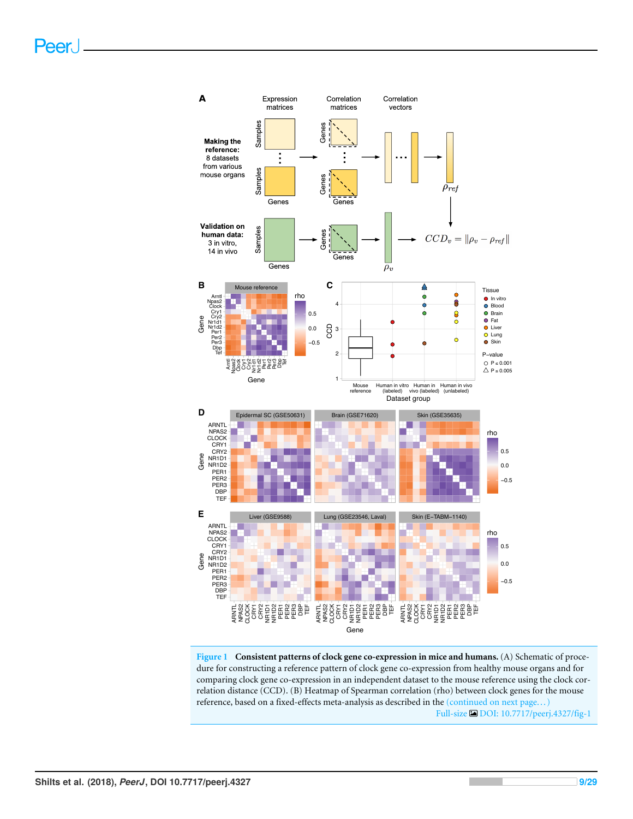<span id="page-8-0"></span>

**Figure 1 Consistent patterns of clock gene co-expression in mice and humans.** (A) Schematic of procedure for constructing a reference pattern of clock gene co-expression from healthy mouse organs and for comparing clock gene co-expression in an independent dataset to the mouse reference using the clock correlation distance (CCD). (B) Heatmap of Spearman correlation (rho) between clock genes for the mouse reference, based on a fixed-effects meta-analysis as described in the (continued on next page... ) Full-size [DOI: 10.7717/peerj.4327/fig-1](https://doi.org/10.7717/peerj.4327/fig-1)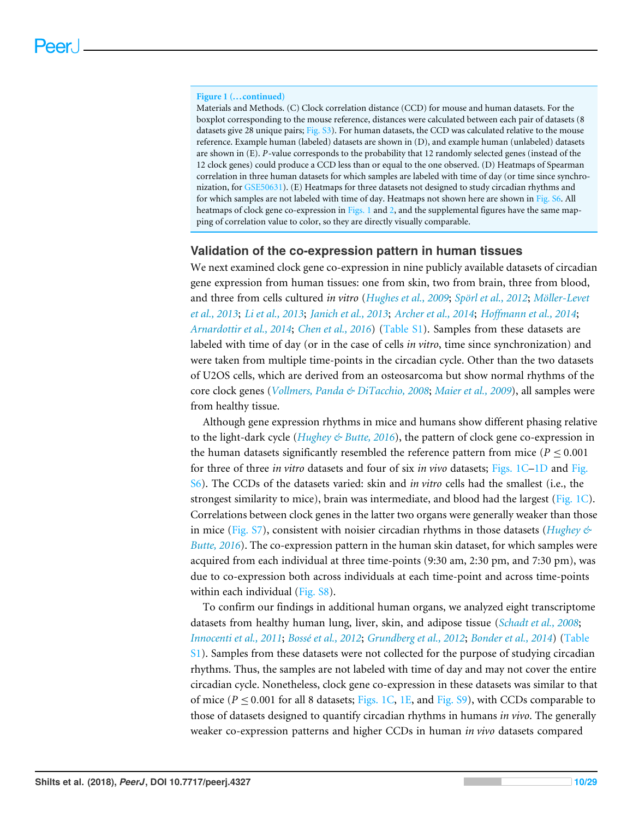#### **Figure 1 (...continued)**

Materials and Methods. (C) Clock correlation distance (CCD) for mouse and human datasets. For the boxplot corresponding to the mouse reference, distances were calculated between each pair of datasets (8 datasets give 28 unique pairs; [Fig. S3\)](http://dx.doi.org/10.7717/peerj.4327#supp-1). For human datasets, the CCD was calculated relative to the mouse reference. Example human (labeled) datasets are shown in (D), and example human (unlabeled) datasets are shown in (E). *P*-value corresponds to the probability that 12 randomly selected genes (instead of the 12 clock genes) could produce a CCD less than or equal to the one observed. (D) Heatmaps of Spearman correlation in three human datasets for which samples are labeled with time of day (or time since synchronization, for [GSE50631\)](http://www.ncbi.nlm.nih.gov/geo/query/acc.cgi?acc=GSE50631). (E) Heatmaps for three datasets not designed to study circadian rhythms and for which samples are not labeled with time of day. Heatmaps not shown here are shown in [Fig. S6.](http://dx.doi.org/10.7717/peerj.4327#supp-1) All heatmaps of clock gene co-expression in [Figs. 1](#page-8-0) and [2,](#page-11-0) and the supplemental figures have the same mapping of correlation value to color, so they are directly visually comparable.

#### **Validation of the co-expression pattern in human tissues**

We next examined clock gene co-expression in nine publicly available datasets of circadian gene expression from human tissues: one from skin, two from brain, three from blood, and three from cells cultured *in vitro* (*[Hughes et al., 2009](#page-22-6)*; *[Spörl et al., 2012](#page-27-7)*; *[Möller-Levet](#page-25-7) [et al., 2013](#page-25-7)*; *[Li et al., 2013](#page-24-5)*; *[Janich et al., 2013](#page-23-8)*; *[Archer et al., 2014](#page-19-3)*; *[Hoffmann et al., 2014](#page-22-8)*; *[Arnardottir et al., 2014](#page-19-4)*; *[Chen et al., 2016](#page-20-7)*) [\(Table S1\)](http://dx.doi.org/10.7717/peerj.4327#supp-2). Samples from these datasets are labeled with time of day (or in the case of cells *in vitro*, time since synchronization) and were taken from multiple time-points in the circadian cycle. Other than the two datasets of U2OS cells, which are derived from an osteosarcoma but show normal rhythms of the core clock genes (*[Vollmers, Panda & DiTacchio, 2008](#page-28-7)*; *[Maier et al., 2009](#page-24-6)*), all samples were from healthy tissue.

Although gene expression rhythms in mice and humans show different phasing relative to the light-dark cycle (*[Hughey & Butte, 2016](#page-23-7)*), the pattern of clock gene co-expression in the human datasets significantly resembled the reference pattern from mice ( $P \le 0.001$ ) for three of three *in vitro* datasets and four of six *in vivo* datasets; [Figs. 1C–1D](#page-8-0) and [Fig.](http://dx.doi.org/10.7717/peerj.4327#supp-1) [S6\)](http://dx.doi.org/10.7717/peerj.4327#supp-1). The CCDs of the datasets varied: skin and *in vitro* cells had the smallest (i.e., the strongest similarity to mice), brain was intermediate, and blood had the largest [\(Fig. 1C\)](#page-8-0). Correlations between clock genes in the latter two organs were generally weaker than those in mice [\(Fig. S7\)](http://dx.doi.org/10.7717/peerj.4327#supp-1), consistent with noisier circadian rhythms in those datasets (*[Hughey &](#page-23-7) [Butte, 2016](#page-23-7)*). The co-expression pattern in the human skin dataset, for which samples were acquired from each individual at three time-points (9:30 am, 2:30 pm, and 7:30 pm), was due to co-expression both across individuals at each time-point and across time-points within each individual [\(Fig. S8\)](http://dx.doi.org/10.7717/peerj.4327#supp-1).

To confirm our findings in additional human organs, we analyzed eight transcriptome datasets from healthy human lung, liver, skin, and adipose tissue (*[Schadt et al., 2008](#page-26-7)*; *[Innocenti et al., 2011](#page-23-9)*; *[Bossé et al., 2012](#page-20-8)*; *[Grundberg et al., 2012](#page-21-6)*; *[Bonder et al., 2014](#page-20-9)*) [\(Table](http://dx.doi.org/10.7717/peerj.4327#supp-2) [S1\)](http://dx.doi.org/10.7717/peerj.4327#supp-2). Samples from these datasets were not collected for the purpose of studying circadian rhythms. Thus, the samples are not labeled with time of day and may not cover the entire circadian cycle. Nonetheless, clock gene co-expression in these datasets was similar to that of mice ( $P \le 0.001$  for all 8 datasets; [Figs. 1C,](#page-8-0) [1E,](#page-8-0) and [Fig. S9\)](http://dx.doi.org/10.7717/peerj.4327#supp-1), with CCDs comparable to those of datasets designed to quantify circadian rhythms in humans *in vivo*. The generally weaker co-expression patterns and higher CCDs in human *in vivo* datasets compared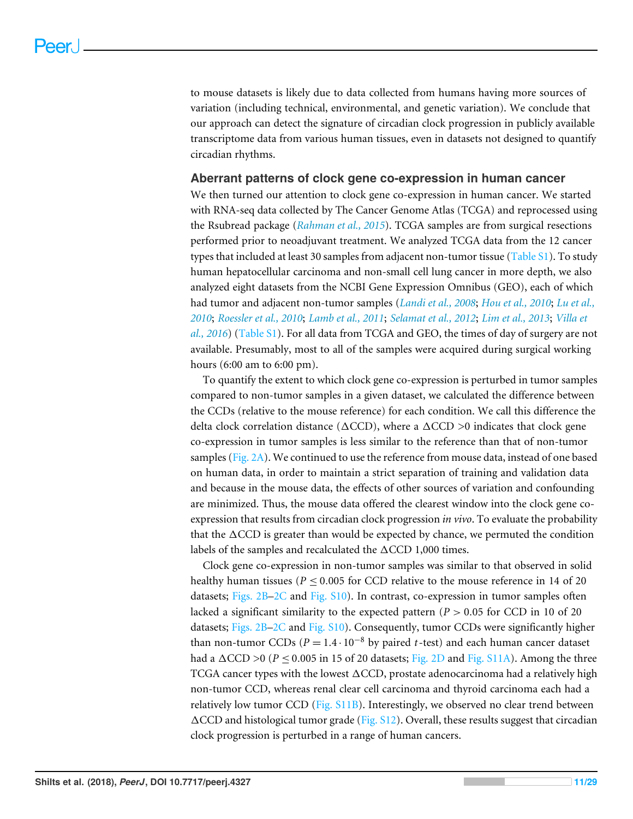to mouse datasets is likely due to data collected from humans having more sources of variation (including technical, environmental, and genetic variation). We conclude that our approach can detect the signature of circadian clock progression in publicly available transcriptome data from various human tissues, even in datasets not designed to quantify circadian rhythms.

#### **Aberrant patterns of clock gene co-expression in human cancer**

We then turned our attention to clock gene co-expression in human cancer. We started with RNA-seq data collected by The Cancer Genome Atlas (TCGA) and reprocessed using the Rsubread package (*[Rahman et al., 2015](#page-26-2)*). TCGA samples are from surgical resections performed prior to neoadjuvant treatment. We analyzed TCGA data from the 12 cancer types that included at least 30 samples from adjacent non-tumor tissue [\(Table S1\)](http://dx.doi.org/10.7717/peerj.4327#supp-2). To study human hepatocellular carcinoma and non-small cell lung cancer in more depth, we also analyzed eight datasets from the NCBI Gene Expression Omnibus (GEO), each of which had tumor and adjacent non-tumor samples (*[Landi et al., 2008](#page-24-7)*; *[Hou et al., 2010](#page-22-9)*; *[Lu et al.,](#page-24-8) [2010](#page-24-8)*; *[Roessler et al., 2010](#page-26-8)*; *[Lamb et al., 2011](#page-23-10)*; *[Selamat et al., 2012](#page-27-8)*; *[Lim et al., 2013](#page-24-9)*; *[Villa et](#page-27-9) [al., 2016](#page-27-9)*) [\(Table S1\)](http://dx.doi.org/10.7717/peerj.4327#supp-2). For all data from TCGA and GEO, the times of day of surgery are not available. Presumably, most to all of the samples were acquired during surgical working hours (6:00 am to 6:00 pm).

To quantify the extent to which clock gene co-expression is perturbed in tumor samples compared to non-tumor samples in a given dataset, we calculated the difference between the CCDs (relative to the mouse reference) for each condition. We call this difference the delta clock correlation distance ( $\triangle CCD$ ), where a  $\triangle CCD >0$  indicates that clock gene co-expression in tumor samples is less similar to the reference than that of non-tumor samples [\(Fig. 2A\)](#page-11-0). We continued to use the reference from mouse data, instead of one based on human data, in order to maintain a strict separation of training and validation data and because in the mouse data, the effects of other sources of variation and confounding are minimized. Thus, the mouse data offered the clearest window into the clock gene coexpression that results from circadian clock progression *in vivo*. To evaluate the probability that the  $\triangle CCD$  is greater than would be expected by chance, we permuted the condition labels of the samples and recalculated the  $\triangle CCD$  1,000 times.

Clock gene co-expression in non-tumor samples was similar to that observed in solid healthy human tissues ( $P \le 0.005$  for CCD relative to the mouse reference in 14 of 20 datasets; [Figs. 2B–2C](#page-11-0) and [Fig. S10\)](http://dx.doi.org/10.7717/peerj.4327#supp-1). In contrast, co-expression in tumor samples often lacked a significant similarity to the expected pattern ( $P > 0.05$  for CCD in 10 of 20 datasets; [Figs. 2B–2C](#page-11-0) and [Fig. S10\)](http://dx.doi.org/10.7717/peerj.4327#supp-1). Consequently, tumor CCDs were significantly higher than non-tumor CCDs ( $P = 1.4 \cdot 10^{-8}$  by paired *t*-test) and each human cancer dataset had a  $\Delta$ CCD >0 ( $P \le 0.005$  in 15 of 20 datasets; [Fig. 2D](#page-11-0) and [Fig. S11A\)](http://dx.doi.org/10.7717/peerj.4327#supp-1). Among the three TCGA cancer types with the lowest  $\Delta$ CCD, prostate adenocarcinoma had a relatively high non-tumor CCD, whereas renal clear cell carcinoma and thyroid carcinoma each had a relatively low tumor CCD [\(Fig. S11B\)](http://dx.doi.org/10.7717/peerj.4327#supp-1). Interestingly, we observed no clear trend between  $\Delta$ CCD and histological tumor grade [\(Fig. S12\)](http://dx.doi.org/10.7717/peerj.4327#supp-1). Overall, these results suggest that circadian clock progression is perturbed in a range of human cancers.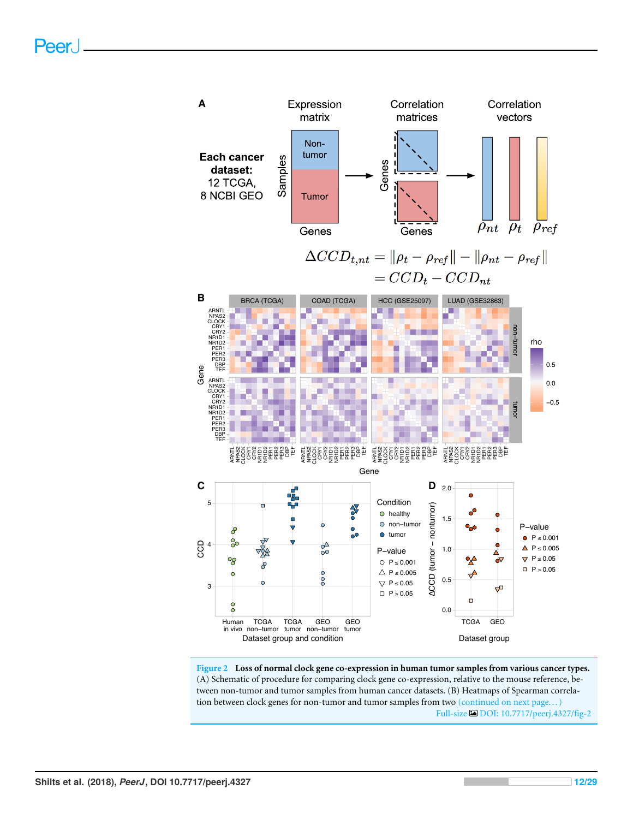<span id="page-11-0"></span>

**Figure 2 Loss of normal clock gene co-expression in human tumor samples from various cancer types.** (A) Schematic of procedure for comparing clock gene co-expression, relative to the mouse reference, between non-tumor and tumor samples from human cancer datasets. (B) Heatmaps of Spearman correlation between clock genes for non-tumor and tumor samples from two (continued on next page...) Full-size [DOI: 10.7717/peerj.4327/fig-2](https://doi.org/10.7717/peerj.4327/fig-2)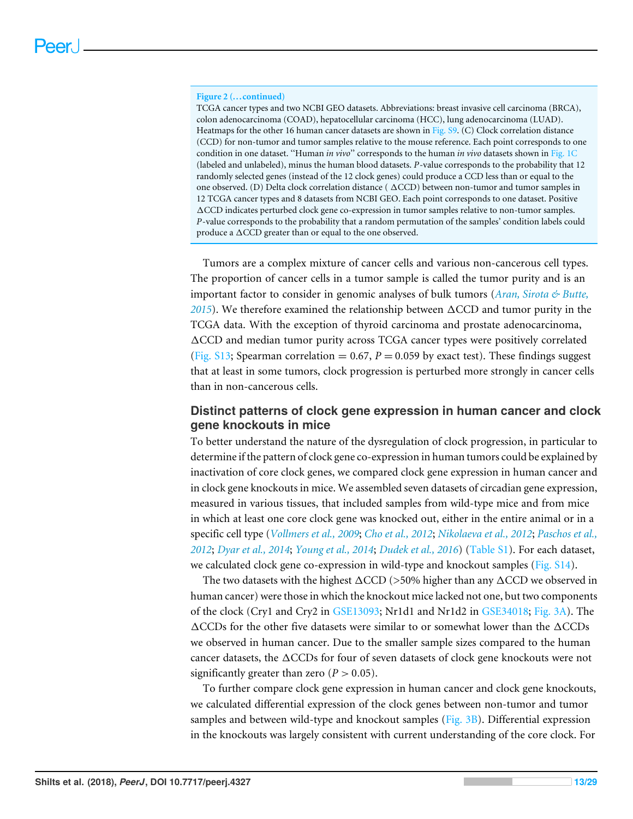#### **Figure 2 (...continued)**

TCGA cancer types and two NCBI GEO datasets. Abbreviations: breast invasive cell carcinoma (BRCA), colon adenocarcinoma (COAD), hepatocellular carcinoma (HCC), lung adenocarcinoma (LUAD). Heatmaps for the other 16 human cancer datasets are shown in [Fig. S9.](http://dx.doi.org/10.7717/peerj.4327#supp-1) (C) Clock correlation distance (CCD) for non-tumor and tumor samples relative to the mouse reference. Each point corresponds to one condition in one dataset. ''Human *in vivo*'' corresponds to the human *in vivo* datasets shown in [Fig. 1C](#page-8-0) (labeled and unlabeled), minus the human blood datasets. *P*-value corresponds to the probability that 12 randomly selected genes (instead of the 12 clock genes) could produce a CCD less than or equal to the one observed. (D) Delta clock correlation distance ( $\Delta CCD$ ) between non-tumor and tumor samples in 12 TCGA cancer types and 8 datasets from NCBI GEO. Each point corresponds to one dataset. Positive 1CCD indicates perturbed clock gene co-expression in tumor samples relative to non-tumor samples. *P*-value corresponds to the probability that a random permutation of the samples' condition labels could produce a  $\triangle CCD$  greater than or equal to the one observed.

Tumors are a complex mixture of cancer cells and various non-cancerous cell types. The proportion of cancer cells in a tumor sample is called the tumor purity and is an important factor to consider in genomic analyses of bulk tumors (*[Aran, Sirota & Butte,](#page-19-2) [2015](#page-19-2)*). We therefore examined the relationship between  $\Delta CCD$  and tumor purity in the TCGA data. With the exception of thyroid carcinoma and prostate adenocarcinoma, 1CCD and median tumor purity across TCGA cancer types were positively correlated [\(Fig. S13;](http://dx.doi.org/10.7717/peerj.4327#supp-1) Spearman correlation  $= 0.67$ ,  $P = 0.059$  by exact test). These findings suggest that at least in some tumors, clock progression is perturbed more strongly in cancer cells than in non-cancerous cells.

#### **Distinct patterns of clock gene expression in human cancer and clock gene knockouts in mice**

To better understand the nature of the dysregulation of clock progression, in particular to determine if the pattern of clock gene co-expression in human tumors could be explained by inactivation of core clock genes, we compared clock gene expression in human cancer and in clock gene knockouts in mice. We assembled seven datasets of circadian gene expression, measured in various tissues, that included samples from wild-type mice and from mice in which at least one core clock gene was knocked out, either in the entire animal or in a specific cell type (*[Vollmers et al., 2009](#page-28-6)*; *[Cho et al., 2012](#page-20-2)*; *[Nikolaeva et al., 2012](#page-25-8)*; *[Paschos et al.,](#page-26-9) [2012](#page-26-9)*; *[Dyar et al., 2014](#page-21-7)*; *[Young et al., 2014](#page-28-8)*; *[Dudek et al., 2016](#page-21-8)*) [\(Table S1\)](http://dx.doi.org/10.7717/peerj.4327#supp-2). For each dataset, we calculated clock gene co-expression in wild-type and knockout samples [\(Fig. S14\)](http://dx.doi.org/10.7717/peerj.4327#supp-1).

The two datasets with the highest  $\Delta CCD$  (>50% higher than any  $\Delta CCD$  we observed in human cancer) were those in which the knockout mice lacked not one, but two components of the clock (Cry1 and Cry2 in [GSE13093;](http://www.ncbi.nlm.nih.gov/geo/query/acc.cgi?acc=GSE13093) Nr1d1 and Nr1d2 in [GSE34018;](http://www.ncbi.nlm.nih.gov/geo/query/acc.cgi?acc=GSE34018) [Fig. 3A\)](#page-13-0). The  $\triangle$ CCDs for the other five datasets were similar to or somewhat lower than the  $\triangle$ CCDs we observed in human cancer. Due to the smaller sample sizes compared to the human cancer datasets, the  $\triangle$ CCDs for four of seven datasets of clock gene knockouts were not significantly greater than zero  $(P > 0.05)$ .

To further compare clock gene expression in human cancer and clock gene knockouts, we calculated differential expression of the clock genes between non-tumor and tumor samples and between wild-type and knockout samples [\(Fig. 3B\)](#page-13-0). Differential expression in the knockouts was largely consistent with current understanding of the core clock. For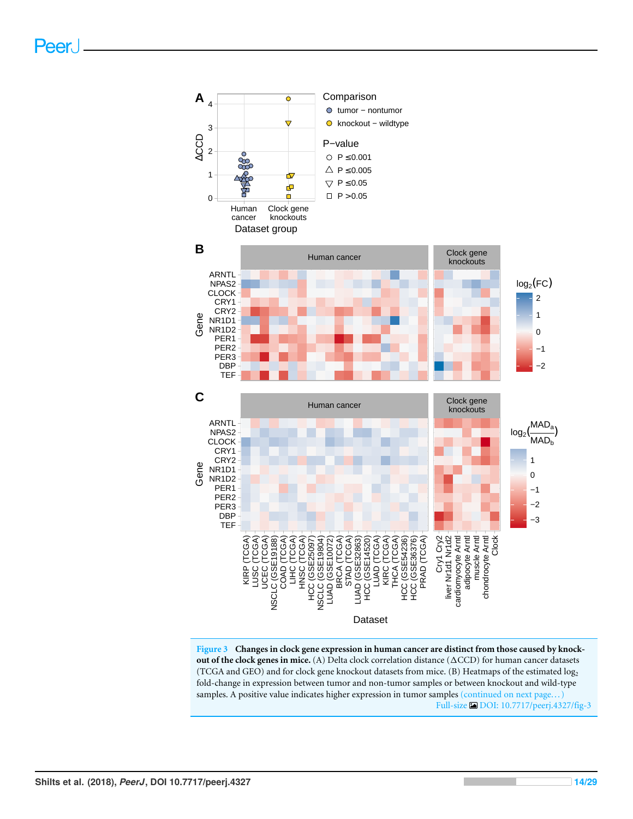<span id="page-13-0"></span>

**Figure 3 Changes in clock gene expression in human cancer are distinct from those caused by knockout of the clock genes in mice.** (A) Delta clock correlation distance ( $\triangle CCD$ ) for human cancer datasets (TCGA and GEO) and for clock gene knockout datasets from mice. (B) Heatmaps of the estimated log<sup>2</sup> fold-change in expression between tumor and non-tumor samples or between knockout and wild-type samples. A positive value indicates higher expression in tumor samples (continued on next page...) Full-size [DOI: 10.7717/peerj.4327/fig-3](https://doi.org/10.7717/peerj.4327/fig-3)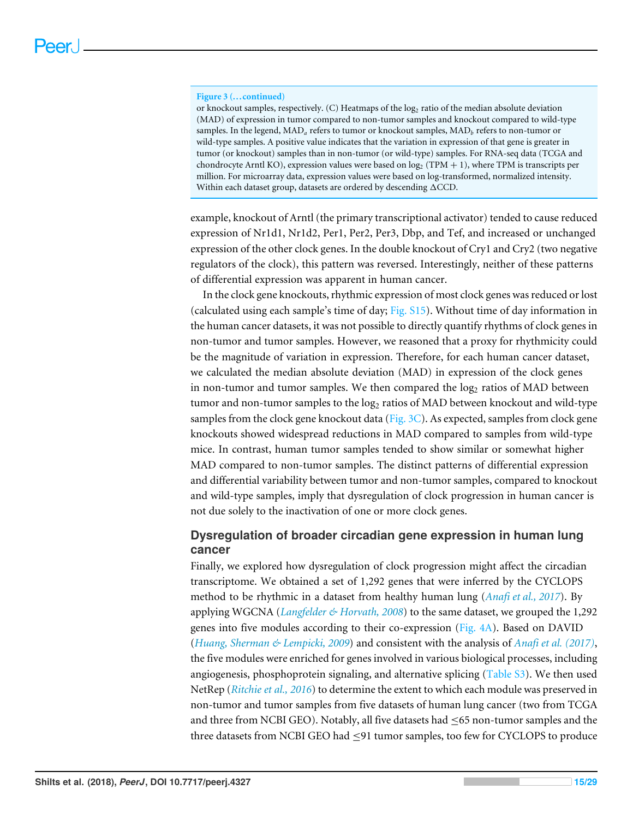#### **Figure 3 (...continued)**

or knockout samples, respectively. (C) Heatmaps of the log<sub>2</sub> ratio of the median absolute deviation (MAD) of expression in tumor compared to non-tumor samples and knockout compared to wild-type samples. In the legend,  $\text{MAD}_a$  refers to tumor or knockout samples,  $\text{MAD}_b$  refers to non-tumor or wild-type samples. A positive value indicates that the variation in expression of that gene is greater in tumor (or knockout) samples than in non-tumor (or wild-type) samples. For RNA-seq data (TCGA and chondrocyte Arntl KO), expression values were based on  $log_2$  (TPM + 1), where TPM is transcripts per million. For microarray data, expression values were based on log-transformed, normalized intensity. Within each dataset group, datasets are ordered by descending  $\Delta CCD$ .

example, knockout of Arntl (the primary transcriptional activator) tended to cause reduced expression of Nr1d1, Nr1d2, Per1, Per2, Per3, Dbp, and Tef, and increased or unchanged expression of the other clock genes. In the double knockout of Cry1 and Cry2 (two negative regulators of the clock), this pattern was reversed. Interestingly, neither of these patterns of differential expression was apparent in human cancer.

In the clock gene knockouts, rhythmic expression of most clock genes was reduced or lost (calculated using each sample's time of day; [Fig. S15\)](http://dx.doi.org/10.7717/peerj.4327#supp-1). Without time of day information in the human cancer datasets, it was not possible to directly quantify rhythms of clock genes in non-tumor and tumor samples. However, we reasoned that a proxy for rhythmicity could be the magnitude of variation in expression. Therefore, for each human cancer dataset, we calculated the median absolute deviation (MAD) in expression of the clock genes in non-tumor and tumor samples. We then compared the  $log<sub>2</sub>$  ratios of MAD between tumor and non-tumor samples to the  $log<sub>2</sub>$  ratios of MAD between knockout and wild-type samples from the clock gene knockout data (Fig.  $3C$ ). As expected, samples from clock gene knockouts showed widespread reductions in MAD compared to samples from wild-type mice. In contrast, human tumor samples tended to show similar or somewhat higher MAD compared to non-tumor samples. The distinct patterns of differential expression and differential variability between tumor and non-tumor samples, compared to knockout and wild-type samples, imply that dysregulation of clock progression in human cancer is not due solely to the inactivation of one or more clock genes.

#### **Dysregulation of broader circadian gene expression in human lung cancer**

Finally, we explored how dysregulation of clock progression might affect the circadian transcriptome. We obtained a set of 1,292 genes that were inferred by the CYCLOPS method to be rhythmic in a dataset from healthy human lung (*[Anafi et al., 2017](#page-19-1)*). By applying WGCNA (*[Langfelder & Horvath, 2008](#page-24-3)*) to the same dataset, we grouped the 1,292 genes into five modules according to their co-expression [\(Fig. 4A\)](#page-15-0). Based on DAVID (*[Huang, Sherman & Lempicki, 2009](#page-22-4)*) and consistent with the analysis of *[Anafi et al. \(2017\)](#page-19-1)*, the five modules were enriched for genes involved in various biological processes, including angiogenesis, phosphoprotein signaling, and alternative splicing [\(Table S3\)](http://dx.doi.org/10.7717/peerj.4327#supp-4). We then used NetRep (*[Ritchie et al., 2016](#page-26-5)*) to determine the extent to which each module was preserved in non-tumor and tumor samples from five datasets of human lung cancer (two from TCGA and three from NCBI GEO). Notably, all five datasets had  $\leq$ 65 non-tumor samples and the three datasets from NCBI GEO had ≤91 tumor samples, too few for CYCLOPS to produce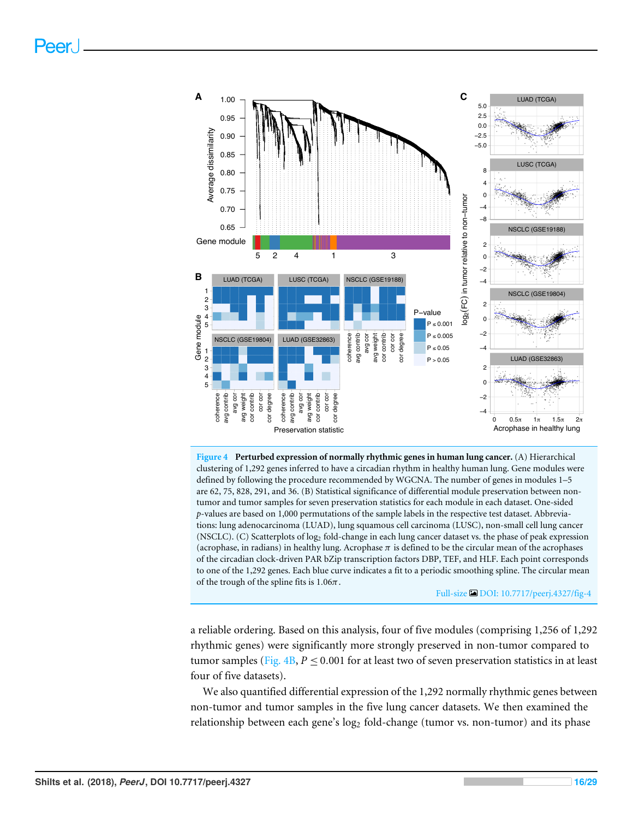<span id="page-15-0"></span>

**Figure 4 Perturbed expression of normally rhythmic genes in human lung cancer.** (A) Hierarchical clustering of 1,292 genes inferred to have a circadian rhythm in healthy human lung. Gene modules were defined by following the procedure recommended by WGCNA. The number of genes in modules 1–5 are 62, 75, 828, 291, and 36. (B) Statistical significance of differential module preservation between nontumor and tumor samples for seven preservation statistics for each module in each dataset. One-sided *p*-values are based on 1,000 permutations of the sample labels in the respective test dataset. Abbreviations: lung adenocarcinoma (LUAD), lung squamous cell carcinoma (LUSC), non-small cell lung cancer (NSCLC). (C) Scatterplots of log<sub>2</sub> fold-change in each lung cancer dataset vs. the phase of peak expression (acrophase, in radians) in healthy lung. Acrophase  $\pi$  is defined to be the circular mean of the acrophases of the circadian clock-driven PAR bZip transcription factors DBP, TEF, and HLF. Each point corresponds to one of the 1,292 genes. Each blue curve indicates a fit to a periodic smoothing spline. The circular mean of the trough of the spline fits is  $1.06\pi$ .

Full-size [DOI: 10.7717/peerj.4327/fig-4](https://doi.org/10.7717/peerj.4327/fig-4)

a reliable ordering. Based on this analysis, four of five modules (comprising 1,256 of 1,292 rhythmic genes) were significantly more strongly preserved in non-tumor compared to tumor samples (Fig.  $4B$ ,  $P \le 0.001$  for at least two of seven preservation statistics in at least four of five datasets).

We also quantified differential expression of the 1,292 normally rhythmic genes between non-tumor and tumor samples in the five lung cancer datasets. We then examined the relationship between each gene's  $log_2$  fold-change (tumor vs. non-tumor) and its phase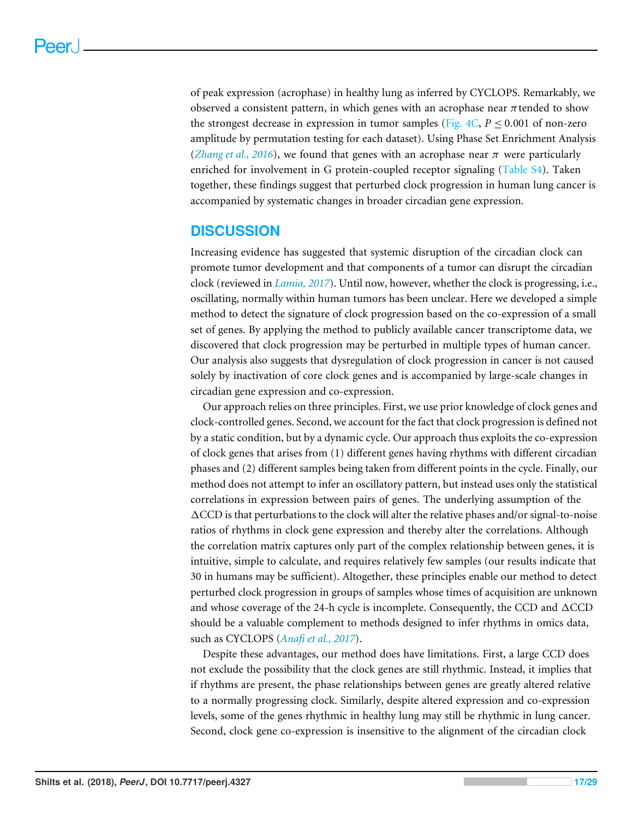of peak expression (acrophase) in healthy lung as inferred by CYCLOPS. Remarkably, we observed a consistent pattern, in which genes with an acrophase near  $\pi$  tended to show the strongest decrease in expression in tumor samples (Fig.  $4C$ ,  $P \le 0.001$  of non-zero amplitude by permutation testing for each dataset). Using Phase Set Enrichment Analysis (*[Zhang et al., 2016](#page-28-5)*), we found that genes with an acrophase near  $\pi$  were particularly enriched for involvement in G protein-coupled receptor signaling [\(Table S4\)](http://dx.doi.org/10.7717/peerj.4327#supp-5). Taken together, these findings suggest that perturbed clock progression in human lung cancer is accompanied by systematic changes in broader circadian gene expression.

#### **DISCUSSION**

Increasing evidence has suggested that systemic disruption of the circadian clock can promote tumor development and that components of a tumor can disrupt the circadian clock (reviewed in *[Lamia, 2017](#page-24-10)*). Until now, however, whether the clock is progressing, i.e., oscillating, normally within human tumors has been unclear. Here we developed a simple method to detect the signature of clock progression based on the co-expression of a small set of genes. By applying the method to publicly available cancer transcriptome data, we discovered that clock progression may be perturbed in multiple types of human cancer. Our analysis also suggests that dysregulation of clock progression in cancer is not caused solely by inactivation of core clock genes and is accompanied by large-scale changes in circadian gene expression and co-expression.

Our approach relies on three principles. First, we use prior knowledge of clock genes and clock-controlled genes. Second, we account for the fact that clock progression is defined not by a static condition, but by a dynamic cycle. Our approach thus exploits the co-expression of clock genes that arises from (1) different genes having rhythms with different circadian phases and (2) different samples being taken from different points in the cycle. Finally, our method does not attempt to infer an oscillatory pattern, but instead uses only the statistical correlations in expression between pairs of genes. The underlying assumption of the  $\Delta$ CCD is that perturbations to the clock will alter the relative phases and/or signal-to-noise ratios of rhythms in clock gene expression and thereby alter the correlations. Although the correlation matrix captures only part of the complex relationship between genes, it is intuitive, simple to calculate, and requires relatively few samples (our results indicate that 30 in humans may be sufficient). Altogether, these principles enable our method to detect perturbed clock progression in groups of samples whose times of acquisition are unknown and whose coverage of the 24-h cycle is incomplete. Consequently, the CCD and  $\triangle CCD$ should be a valuable complement to methods designed to infer rhythms in omics data, such as CYCLOPS (*[Anafi et al., 2017](#page-19-1)*).

Despite these advantages, our method does have limitations. First, a large CCD does not exclude the possibility that the clock genes are still rhythmic. Instead, it implies that if rhythms are present, the phase relationships between genes are greatly altered relative to a normally progressing clock. Similarly, despite altered expression and co-expression levels, some of the genes rhythmic in healthy lung may still be rhythmic in lung cancer. Second, clock gene co-expression is insensitive to the alignment of the circadian clock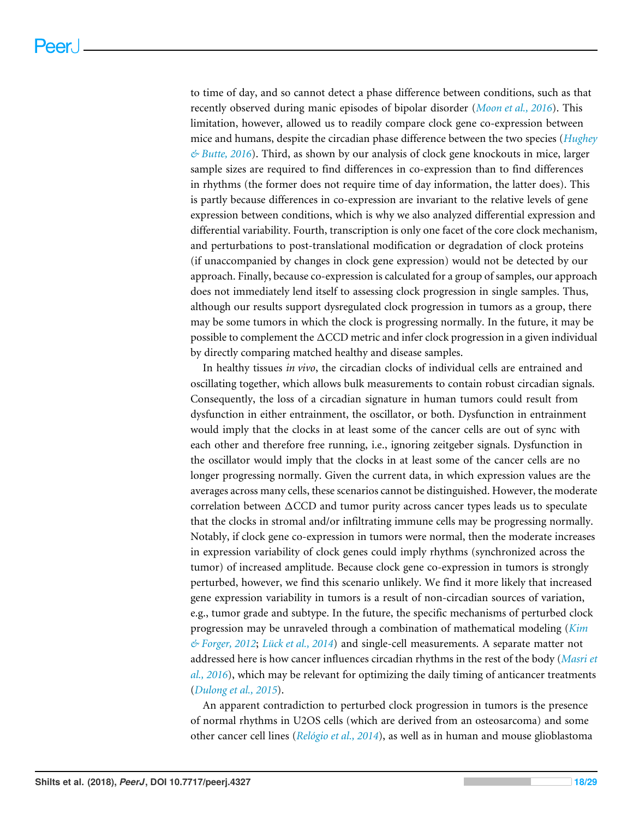to time of day, and so cannot detect a phase difference between conditions, such as that recently observed during manic episodes of bipolar disorder (*[Moon et al., 2016](#page-25-9)*). This limitation, however, allowed us to readily compare clock gene co-expression between mice and humans, despite the circadian phase difference between the two species (*[Hughey](#page-23-7) [& Butte, 2016](#page-23-7)*). Third, as shown by our analysis of clock gene knockouts in mice, larger sample sizes are required to find differences in co-expression than to find differences in rhythms (the former does not require time of day information, the latter does). This is partly because differences in co-expression are invariant to the relative levels of gene expression between conditions, which is why we also analyzed differential expression and differential variability. Fourth, transcription is only one facet of the core clock mechanism, and perturbations to post-translational modification or degradation of clock proteins (if unaccompanied by changes in clock gene expression) would not be detected by our approach. Finally, because co-expression is calculated for a group of samples, our approach does not immediately lend itself to assessing clock progression in single samples. Thus, although our results support dysregulated clock progression in tumors as a group, there may be some tumors in which the clock is progressing normally. In the future, it may be possible to complement the  $\triangle CCD$  metric and infer clock progression in a given individual by directly comparing matched healthy and disease samples.

In healthy tissues *in vivo*, the circadian clocks of individual cells are entrained and oscillating together, which allows bulk measurements to contain robust circadian signals. Consequently, the loss of a circadian signature in human tumors could result from dysfunction in either entrainment, the oscillator, or both. Dysfunction in entrainment would imply that the clocks in at least some of the cancer cells are out of sync with each other and therefore free running, i.e., ignoring zeitgeber signals. Dysfunction in the oscillator would imply that the clocks in at least some of the cancer cells are no longer progressing normally. Given the current data, in which expression values are the averages across many cells, these scenarios cannot be distinguished. However, the moderate correlation between  $\triangle CCD$  and tumor purity across cancer types leads us to speculate that the clocks in stromal and/or infiltrating immune cells may be progressing normally. Notably, if clock gene co-expression in tumors were normal, then the moderate increases in expression variability of clock genes could imply rhythms (synchronized across the tumor) of increased amplitude. Because clock gene co-expression in tumors is strongly perturbed, however, we find this scenario unlikely. We find it more likely that increased gene expression variability in tumors is a result of non-circadian sources of variation, e.g., tumor grade and subtype. In the future, the specific mechanisms of perturbed clock progression may be unraveled through a combination of mathematical modeling (*[Kim](#page-23-11) [& Forger, 2012](#page-23-11)*; *[Lück et al., 2014](#page-24-11)*) and single-cell measurements. A separate matter not addressed here is how cancer influences circadian rhythms in the rest of the body (*[Masri et](#page-24-12) [al., 2016](#page-24-12)*), which may be relevant for optimizing the daily timing of anticancer treatments (*[Dulong et al., 2015](#page-21-9)*).

An apparent contradiction to perturbed clock progression in tumors is the presence of normal rhythms in U2OS cells (which are derived from an osteosarcoma) and some other cancer cell lines (*[Relógio et al., 2014](#page-26-0)*), as well as in human and mouse glioblastoma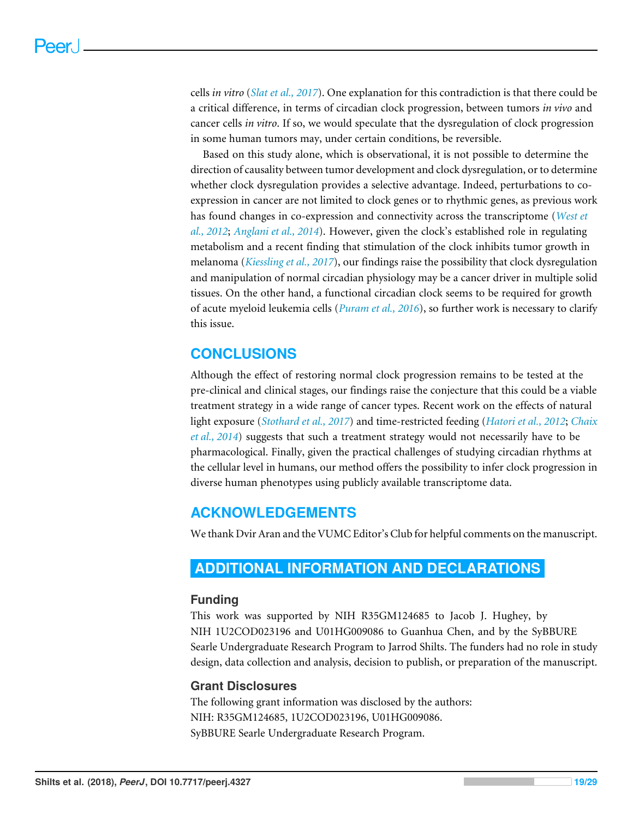cells *in vitro* (*[Slat et al., 2017](#page-27-10)*). One explanation for this contradiction is that there could be a critical difference, in terms of circadian clock progression, between tumors *in vivo* and cancer cells *in vitro*. If so, we would speculate that the dysregulation of clock progression in some human tumors may, under certain conditions, be reversible.

Based on this study alone, which is observational, it is not possible to determine the direction of causality between tumor development and clock dysregulation, or to determine whether clock dysregulation provides a selective advantage. Indeed, perturbations to coexpression in cancer are not limited to clock genes or to rhythmic genes, as previous work has found changes in co-expression and connectivity across the transcriptome (*[West et](#page-28-9) [al., 2012](#page-28-9)*; *[Anglani et al., 2014](#page-19-5)*). However, given the clock's established role in regulating metabolism and a recent finding that stimulation of the clock inhibits tumor growth in melanoma (*[Kiessling et al., 2017](#page-23-1)*), our findings raise the possibility that clock dysregulation and manipulation of normal circadian physiology may be a cancer driver in multiple solid tissues. On the other hand, a functional circadian clock seems to be required for growth of acute myeloid leukemia cells (*[Puram et al., 2016](#page-26-10)*), so further work is necessary to clarify this issue.

## **CONCLUSIONS**

Although the effect of restoring normal clock progression remains to be tested at the pre-clinical and clinical stages, our findings raise the conjecture that this could be a viable treatment strategy in a wide range of cancer types. Recent work on the effects of natural light exposure (*[Stothard et al., 2017](#page-27-11)*) and time-restricted feeding (*[Hatori et al., 2012](#page-22-10)*; *[Chaix](#page-20-10) [et al., 2014](#page-20-10)*) suggests that such a treatment strategy would not necessarily have to be pharmacological. Finally, given the practical challenges of studying circadian rhythms at the cellular level in humans, our method offers the possibility to infer clock progression in diverse human phenotypes using publicly available transcriptome data.

## **ACKNOWLEDGEMENTS**

We thank Dvir Aran and the VUMC Editor's Club for helpful comments on the manuscript.

## <span id="page-18-0"></span>**ADDITIONAL INFORMATION AND DECLARATIONS**

#### **Funding**

This work was supported by NIH R35GM124685 to Jacob J. Hughey, by NIH 1U2COD023196 and U01HG009086 to Guanhua Chen, and by the SyBBURE Searle Undergraduate Research Program to Jarrod Shilts. The funders had no role in study design, data collection and analysis, decision to publish, or preparation of the manuscript.

#### **Grant Disclosures**

The following grant information was disclosed by the authors: NIH: R35GM124685, 1U2COD023196, U01HG009086. SyBBURE Searle Undergraduate Research Program.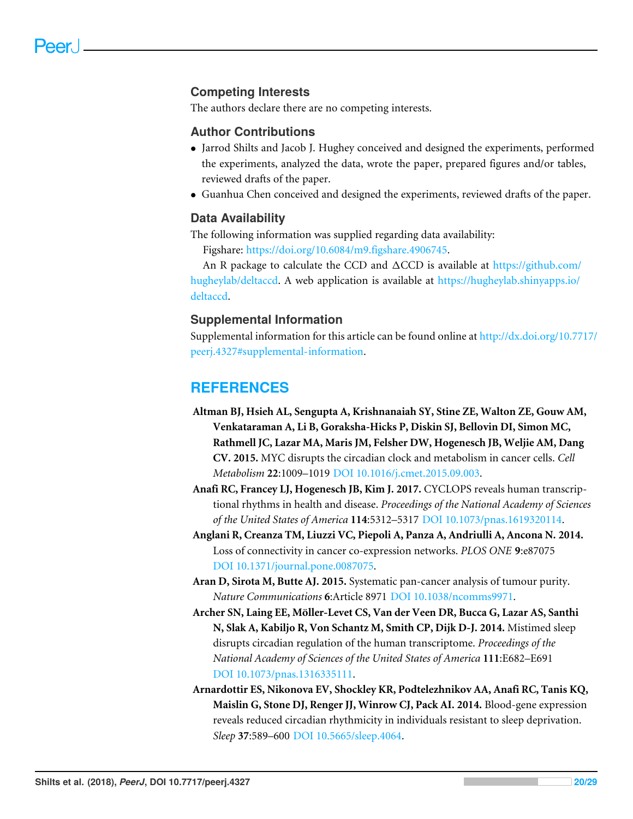#### **Competing Interests**

The authors declare there are no competing interests.

#### **Author Contributions**

- [Jarrod Shilts](#page-0-3) and [Jacob J. Hughey](#page-0-4) conceived and designed the experiments, performed the experiments, analyzed the data, wrote the paper, prepared figures and/or tables, reviewed drafts of the paper.
- [Guanhua Chen](#page-0-5) conceived and designed the experiments, reviewed drafts of the paper.

#### **Data Availability**

The following information was supplied regarding data availability:

Figshare: [https://doi.org/10.6084/m9.figshare.4906745.](https://doi.org/10.6084/m9.figshare.4906745)

An R package to calculate the CCD and  $\Delta CCD$  is available at [https://github.com/](https://github.com/hugheylab/deltaccd) [hugheylab/deltaccd.](https://github.com/hugheylab/deltaccd) A web application is available at [https://hugheylab.shinyapps.io/](https://hugheylab.shinyapps.io/deltaccd) [deltaccd.](https://hugheylab.shinyapps.io/deltaccd)

#### **Supplemental Information**

Supplemental information for this article can be found online at [http://dx.doi.org/10.7717/](http://dx.doi.org/10.7717/peerj.4327#supplemental-information) [peerj.4327#supplemental-information.](http://dx.doi.org/10.7717/peerj.4327#supplemental-information)

#### **REFERENCES**

- <span id="page-19-0"></span>**Altman BJ, Hsieh AL, Sengupta A, Krishnanaiah SY, Stine ZE, Walton ZE, Gouw AM, Venkataraman A, Li B, Goraksha-Hicks P, Diskin SJ, Bellovin DI, Simon MC, Rathmell JC, Lazar MA, Maris JM, Felsher DW, Hogenesch JB, Weljie AM, Dang CV. 2015.** MYC disrupts the circadian clock and metabolism in cancer cells. *Cell Metabolism* **22**:1009–1019 [DOI 10.1016/j.cmet.2015.09.003.](http://dx.doi.org/10.1016/j.cmet.2015.09.003)
- <span id="page-19-1"></span>**Anafi RC, Francey LJ, Hogenesch JB, Kim J. 2017.** CYCLOPS reveals human transcriptional rhythms in health and disease. *Proceedings of the National Academy of Sciences of the United States of America* **114**:5312–5317 [DOI 10.1073/pnas.1619320114.](http://dx.doi.org/10.1073/pnas.1619320114)
- <span id="page-19-5"></span>**Anglani R, Creanza TM, Liuzzi VC, Piepoli A, Panza A, Andriulli A, Ancona N. 2014.** Loss of connectivity in cancer co-expression networks. *PLOS ONE* **9**:e87075 [DOI 10.1371/journal.pone.0087075.](http://dx.doi.org/10.1371/journal.pone.0087075)
- <span id="page-19-2"></span>**Aran D, Sirota M, Butte AJ. 2015.** Systematic pan-cancer analysis of tumour purity. *Nature Communications* **6**:Article 8971 [DOI 10.1038/ncomms9971.](http://dx.doi.org/10.1038/ncomms9971)
- <span id="page-19-3"></span>**Archer SN, Laing EE, Möller-Levet CS, Van der Veen DR, Bucca G, Lazar AS, Santhi N, Slak A, Kabiljo R, Von Schantz M, Smith CP, Dijk D-J. 2014.** Mistimed sleep disrupts circadian regulation of the human transcriptome. *Proceedings of the National Academy of Sciences of the United States of America* **111**:E682–E691 [DOI 10.1073/pnas.1316335111.](http://dx.doi.org/10.1073/pnas.1316335111)
- <span id="page-19-4"></span>**Arnardottir ES, Nikonova EV, Shockley KR, Podtelezhnikov AA, Anafi RC, Tanis KQ, Maislin G, Stone DJ, Renger JJ, Winrow CJ, Pack AI. 2014.** Blood-gene expression reveals reduced circadian rhythmicity in individuals resistant to sleep deprivation. *Sleep* **37**:589–600 [DOI 10.5665/sleep.4064.](http://dx.doi.org/10.5665/sleep.4064)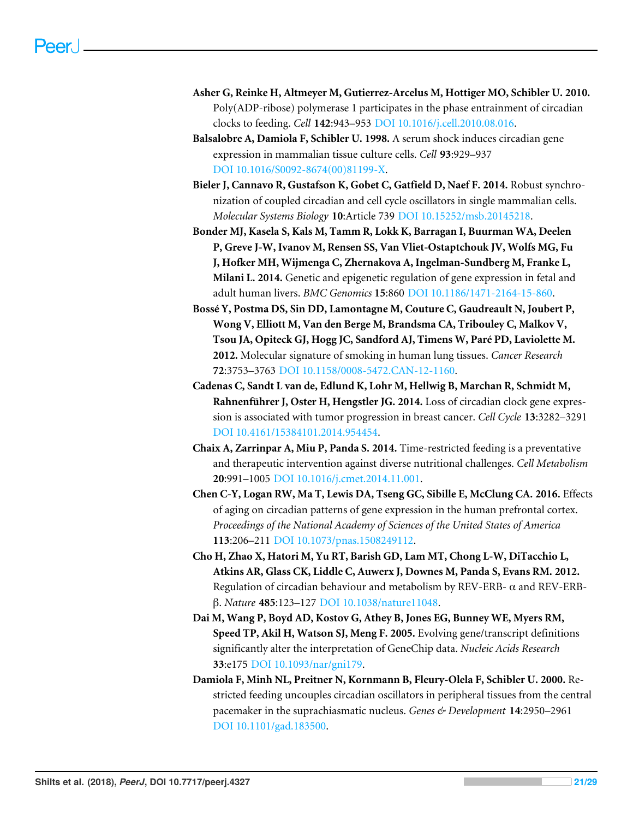- <span id="page-20-1"></span>**Asher G, Reinke H, Altmeyer M, Gutierrez-Arcelus M, Hottiger MO, Schibler U. 2010.** Poly(ADP-ribose) polymerase 1 participates in the phase entrainment of circadian clocks to feeding. *Cell* **142**:943–953 [DOI 10.1016/j.cell.2010.08.016.](http://dx.doi.org/10.1016/j.cell.2010.08.016)
- <span id="page-20-4"></span>**Balsalobre A, Damiola F, Schibler U. 1998.** A serum shock induces circadian gene expression in mammalian tissue culture cells. *Cell* **93**:929–937 [DOI 10.1016/S0092-8674\(00\)81199-X.](http://dx.doi.org/10.1016/S0092-8674(00)81199-X)
- <span id="page-20-3"></span>**Bieler J, Cannavo R, Gustafson K, Gobet C, Gatfield D, Naef F. 2014.** Robust synchronization of coupled circadian and cell cycle oscillators in single mammalian cells. *Molecular Systems Biology* **10**:Article 739 [DOI 10.15252/msb.20145218.](http://dx.doi.org/10.15252/msb.20145218)
- <span id="page-20-9"></span>**Bonder MJ, Kasela S, Kals M, Tamm R, Lokk K, Barragan I, Buurman WA, Deelen P, Greve J-W, Ivanov M, Rensen SS, Van Vliet-Ostaptchouk JV, Wolfs MG, Fu J, Hofker MH, Wijmenga C, Zhernakova A, Ingelman-Sundberg M, Franke L, Milani L. 2014.** Genetic and epigenetic regulation of gene expression in fetal and adult human livers. *BMC Genomics* **15**:860 [DOI 10.1186/1471-2164-15-860.](http://dx.doi.org/10.1186/1471-2164-15-860)
- <span id="page-20-8"></span>**Bossé Y, Postma DS, Sin DD, Lamontagne M, Couture C, Gaudreault N, Joubert P, Wong V, Elliott M, Van den Berge M, Brandsma CA, Tribouley C, Malkov V, Tsou JA, Opiteck GJ, Hogg JC, Sandford AJ, Timens W, Paré PD, Laviolette M. 2012.** Molecular signature of smoking in human lung tissues. *Cancer Research* **72**:3753–3763 [DOI 10.1158/0008-5472.CAN-12-1160.](http://dx.doi.org/10.1158/0008-5472.CAN-12-1160)
- <span id="page-20-5"></span>**Cadenas C, Sandt L van de, Edlund K, Lohr M, Hellwig B, Marchan R, Schmidt M, Rahnenführer J, Oster H, Hengstler JG. 2014.** Loss of circadian clock gene expression is associated with tumor progression in breast cancer. *Cell Cycle* **13**:3282–3291 [DOI 10.4161/15384101.2014.954454.](http://dx.doi.org/10.4161/15384101.2014.954454)
- <span id="page-20-10"></span>**Chaix A, Zarrinpar A, Miu P, Panda S. 2014.** Time-restricted feeding is a preventative and therapeutic intervention against diverse nutritional challenges. *Cell Metabolism* **20**:991–1005 [DOI 10.1016/j.cmet.2014.11.001.](http://dx.doi.org/10.1016/j.cmet.2014.11.001)
- <span id="page-20-7"></span>**Chen C-Y, Logan RW, Ma T, Lewis DA, Tseng GC, Sibille E, McClung CA. 2016.** Effects of aging on circadian patterns of gene expression in the human prefrontal cortex. *Proceedings of the National Academy of Sciences of the United States of America* **113**:206–211 [DOI 10.1073/pnas.1508249112.](http://dx.doi.org/10.1073/pnas.1508249112)
- <span id="page-20-2"></span>**Cho H, Zhao X, Hatori M, Yu RT, Barish GD, Lam MT, Chong L-W, DiTacchio L, Atkins AR, Glass CK, Liddle C, Auwerx J, Downes M, Panda S, Evans RM. 2012.** Regulation of circadian behaviour and metabolism by REV-ERB-  $\alpha$  and REV-ERBβ. *Nature* **485**:123–127 [DOI 10.1038/nature11048.](http://dx.doi.org/10.1038/nature11048)
- <span id="page-20-6"></span>**Dai M, Wang P, Boyd AD, Kostov G, Athey B, Jones EG, Bunney WE, Myers RM, Speed TP, Akil H, Watson SJ, Meng F. 2005.** Evolving gene/transcript definitions significantly alter the interpretation of GeneChip data. *Nucleic Acids Research* **33**:e175 [DOI 10.1093/nar/gni179.](http://dx.doi.org/10.1093/nar/gni179)
- <span id="page-20-0"></span>**Damiola F, Minh NL, Preitner N, Kornmann B, Fleury-Olela F, Schibler U. 2000.** Restricted feeding uncouples circadian oscillators in peripheral tissues from the central pacemaker in the suprachiasmatic nucleus. *Genes & Development* **14**:2950–2961 [DOI 10.1101/gad.183500.](http://dx.doi.org/10.1101/gad.183500)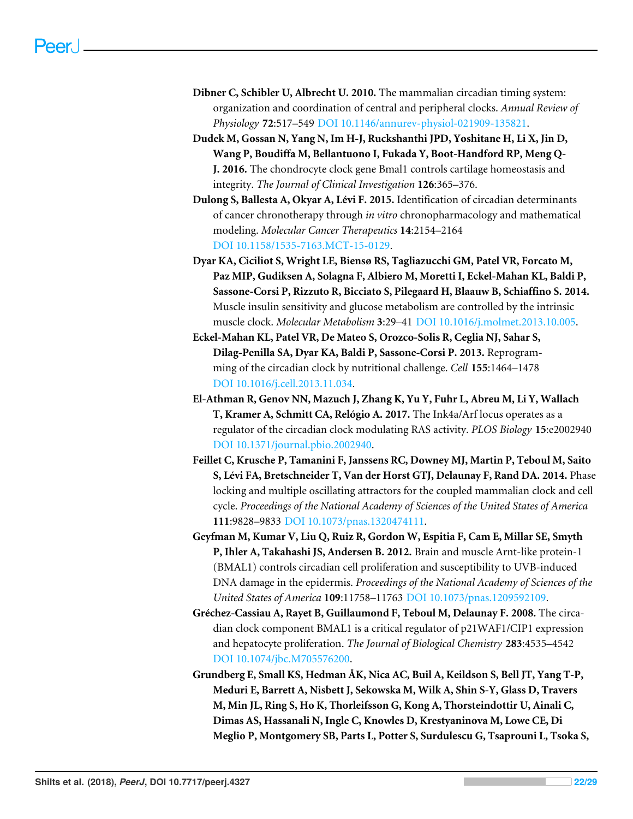- <span id="page-21-0"></span>**Dibner C, Schibler U, Albrecht U. 2010.** The mammalian circadian timing system: organization and coordination of central and peripheral clocks. *Annual Review of Physiology* **72**:517–549 [DOI 10.1146/annurev-physiol-021909-135821.](http://dx.doi.org/10.1146/annurev-physiol-021909-135821)
- <span id="page-21-8"></span>**Dudek M, Gossan N, Yang N, Im H-J, Ruckshanthi JPD, Yoshitane H, Li X, Jin D, Wang P, Boudiffa M, Bellantuono I, Fukada Y, Boot-Handford RP, Meng Q-J. 2016.** The chondrocyte clock gene Bmal1 controls cartilage homeostasis and integrity. *The Journal of Clinical Investigation* **126**:365–376.
- <span id="page-21-9"></span>**Dulong S, Ballesta A, Okyar A, Lévi F. 2015.** Identification of circadian determinants of cancer chronotherapy through *in vitro* chronopharmacology and mathematical modeling. *Molecular Cancer Therapeutics* **14**:2154–2164 [DOI 10.1158/1535-7163.MCT-15-0129.](http://dx.doi.org/10.1158/1535-7163.MCT-15-0129)
- <span id="page-21-7"></span>**Dyar KA, Ciciliot S, Wright LE, Biensø RS, Tagliazucchi GM, Patel VR, Forcato M, Paz MIP, Gudiksen A, Solagna F, Albiero M, Moretti I, Eckel-Mahan KL, Baldi P, Sassone-Corsi P, Rizzuto R, Bicciato S, Pilegaard H, Blaauw B, Schiaffino S. 2014.** Muscle insulin sensitivity and glucose metabolism are controlled by the intrinsic muscle clock. *Molecular Metabolism* **3**:29–41 [DOI 10.1016/j.molmet.2013.10.005.](http://dx.doi.org/10.1016/j.molmet.2013.10.005)
- <span id="page-21-1"></span>**Eckel-Mahan KL, Patel VR, De Mateo S, Orozco-Solis R, Ceglia NJ, Sahar S, Dilag-Penilla SA, Dyar KA, Baldi P, Sassone-Corsi P. 2013.** Reprogramming of the circadian clock by nutritional challenge. *Cell* **155**:1464–1478 [DOI 10.1016/j.cell.2013.11.034.](http://dx.doi.org/10.1016/j.cell.2013.11.034)
- <span id="page-21-5"></span>**El-Athman R, Genov NN, Mazuch J, Zhang K, Yu Y, Fuhr L, Abreu M, Li Y, Wallach T, Kramer A, Schmitt CA, Relógio A. 2017.** The Ink4a/Arf locus operates as a regulator of the circadian clock modulating RAS activity. *PLOS Biology* **15**:e2002940 [DOI 10.1371/journal.pbio.2002940.](http://dx.doi.org/10.1371/journal.pbio.2002940)
- <span id="page-21-4"></span>**Feillet C, Krusche P, Tamanini F, Janssens RC, Downey MJ, Martin P, Teboul M, Saito S, Lévi FA, Bretschneider T, Van der Horst GTJ, Delaunay F, Rand DA. 2014.** Phase locking and multiple oscillating attractors for the coupled mammalian clock and cell cycle. *Proceedings of the National Academy of Sciences of the United States of America* **111**:9828–9833 [DOI 10.1073/pnas.1320474111.](http://dx.doi.org/10.1073/pnas.1320474111)
- <span id="page-21-3"></span>**Geyfman M, Kumar V, Liu Q, Ruiz R, Gordon W, Espitia F, Cam E, Millar SE, Smyth P, Ihler A, Takahashi JS, Andersen B. 2012.** Brain and muscle Arnt-like protein-1 (BMAL1) controls circadian cell proliferation and susceptibility to UVB-induced DNA damage in the epidermis. *Proceedings of the National Academy of Sciences of the United States of America* **109**:11758–11763 [DOI 10.1073/pnas.1209592109.](http://dx.doi.org/10.1073/pnas.1209592109)
- <span id="page-21-2"></span>**Gréchez-Cassiau A, Rayet B, Guillaumond F, Teboul M, Delaunay F. 2008.** The circadian clock component BMAL1 is a critical regulator of p21WAF1/CIP1 expression and hepatocyte proliferation. *The Journal of Biological Chemistry* **283**:4535–4542 [DOI 10.1074/jbc.M705576200.](http://dx.doi.org/10.1074/jbc.M705576200)
- <span id="page-21-6"></span>**Grundberg E, Small KS, Hedman ÅK, Nica AC, Buil A, Keildson S, Bell JT, Yang T-P, Meduri E, Barrett A, Nisbett J, Sekowska M, Wilk A, Shin S-Y, Glass D, Travers M, Min JL, Ring S, Ho K, Thorleifsson G, Kong A, Thorsteindottir U, Ainali C, Dimas AS, Hassanali N, Ingle C, Knowles D, Krestyaninova M, Lowe CE, Di Meglio P, Montgomery SB, Parts L, Potter S, Surdulescu G, Tsaprouni L, Tsoka S,**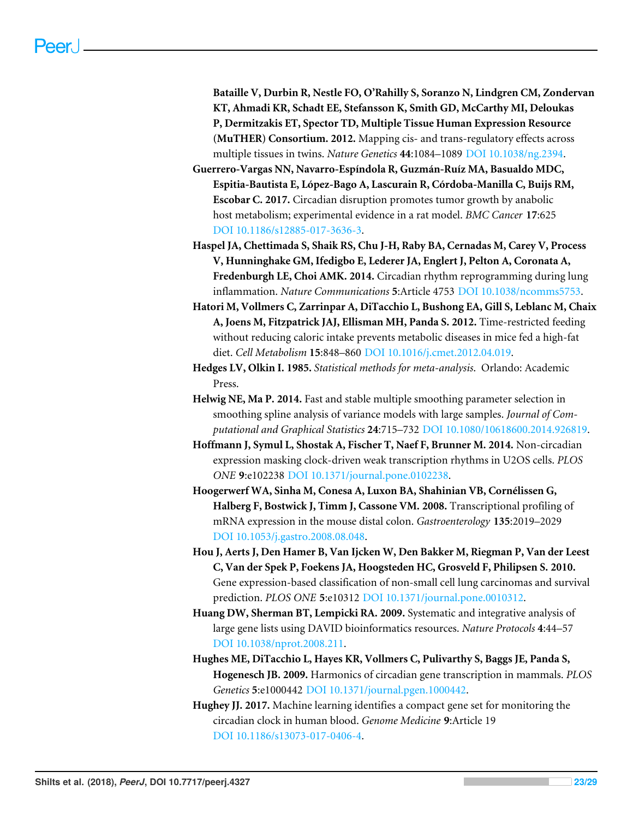**Bataille V, Durbin R, Nestle FO, O'Rahilly S, Soranzo N, Lindgren CM, Zondervan KT, Ahmadi KR, Schadt EE, Stefansson K, Smith GD, McCarthy MI, Deloukas P, Dermitzakis ET, Spector TD, Multiple Tissue Human Expression Resource (MuTHER) Consortium. 2012.** Mapping cis- and trans-regulatory effects across multiple tissues in twins. *Nature Genetics* **44**:1084–1089 [DOI 10.1038/ng.2394.](http://dx.doi.org/10.1038/ng.2394)

- <span id="page-22-0"></span>**Guerrero-Vargas NN, Navarro-Espíndola R, Guzmán-Ruíz MA, Basualdo MDC, Espitia-Bautista E, López-Bago A, Lascurain R, Córdoba-Manilla C, Buijs RM, Escobar C. 2017.** Circadian disruption promotes tumor growth by anabolic host metabolism; experimental evidence in a rat model. *BMC Cancer* **17**:625 [DOI 10.1186/s12885-017-3636-3.](http://dx.doi.org/10.1186/s12885-017-3636-3)
- <span id="page-22-7"></span>**Haspel JA, Chettimada S, Shaik RS, Chu J-H, Raby BA, Cernadas M, Carey V, Process V, Hunninghake GM, Ifedigbo E, Lederer JA, Englert J, Pelton A, Coronata A, Fredenburgh LE, Choi AMK. 2014.** Circadian rhythm reprogramming during lung inflammation. *Nature Communications* **5**:Article 4753 [DOI 10.1038/ncomms5753.](http://dx.doi.org/10.1038/ncomms5753)
- <span id="page-22-10"></span>**Hatori M, Vollmers C, Zarrinpar A, DiTacchio L, Bushong EA, Gill S, Leblanc M, Chaix A, Joens M, Fitzpatrick JAJ, Ellisman MH, Panda S. 2012.** Time-restricted feeding without reducing caloric intake prevents metabolic diseases in mice fed a high-fat diet. *Cell Metabolism* **15**:848–860 [DOI 10.1016/j.cmet.2012.04.019.](http://dx.doi.org/10.1016/j.cmet.2012.04.019)
- <span id="page-22-3"></span>**Hedges LV, Olkin I. 1985.** *Statistical methods for meta-analysis*. Orlando: Academic Press.
- <span id="page-22-2"></span>**Helwig NE, Ma P. 2014.** Fast and stable multiple smoothing parameter selection in smoothing spline analysis of variance models with large samples. *Journal of Computational and Graphical Statistics* **24**:715–732 [DOI 10.1080/10618600.2014.926819.](http://dx.doi.org/10.1080/10618600.2014.926819)
- <span id="page-22-8"></span>**Hoffmann J, Symul L, Shostak A, Fischer T, Naef F, Brunner M. 2014.** Non-circadian expression masking clock-driven weak transcription rhythms in U2OS cells. *PLOS ONE* **9**:e102238 [DOI 10.1371/journal.pone.0102238.](http://dx.doi.org/10.1371/journal.pone.0102238)
- <span id="page-22-5"></span>**Hoogerwerf WA, Sinha M, Conesa A, Luxon BA, Shahinian VB, Cornélissen G, Halberg F, Bostwick J, Timm J, Cassone VM. 2008.** Transcriptional profiling of mRNA expression in the mouse distal colon. *Gastroenterology* **135**:2019–2029 [DOI 10.1053/j.gastro.2008.08.048.](http://dx.doi.org/10.1053/j.gastro.2008.08.048)
- <span id="page-22-9"></span>**Hou J, Aerts J, Den Hamer B, Van Ijcken W, Den Bakker M, Riegman P, Van der Leest C, Van der Spek P, Foekens JA, Hoogsteden HC, Grosveld F, Philipsen S. 2010.** Gene expression-based classification of non-small cell lung carcinomas and survival prediction. *PLOS ONE* **5**:e10312 [DOI 10.1371/journal.pone.0010312.](http://dx.doi.org/10.1371/journal.pone.0010312)
- <span id="page-22-4"></span>**Huang DW, Sherman BT, Lempicki RA. 2009.** Systematic and integrative analysis of large gene lists using DAVID bioinformatics resources. *Nature Protocols* **4**:44–57 [DOI 10.1038/nprot.2008.211.](http://dx.doi.org/10.1038/nprot.2008.211)
- <span id="page-22-6"></span>**Hughes ME, DiTacchio L, Hayes KR, Vollmers C, Pulivarthy S, Baggs JE, Panda S, Hogenesch JB. 2009.** Harmonics of circadian gene transcription in mammals. *PLOS Genetics* **5**:e1000442 [DOI 10.1371/journal.pgen.1000442.](http://dx.doi.org/10.1371/journal.pgen.1000442)
- <span id="page-22-1"></span>**Hughey JJ. 2017.** Machine learning identifies a compact gene set for monitoring the circadian clock in human blood. *Genome Medicine* **9**:Article 19 [DOI 10.1186/s13073-017-0406-4.](http://dx.doi.org/10.1186/s13073-017-0406-4)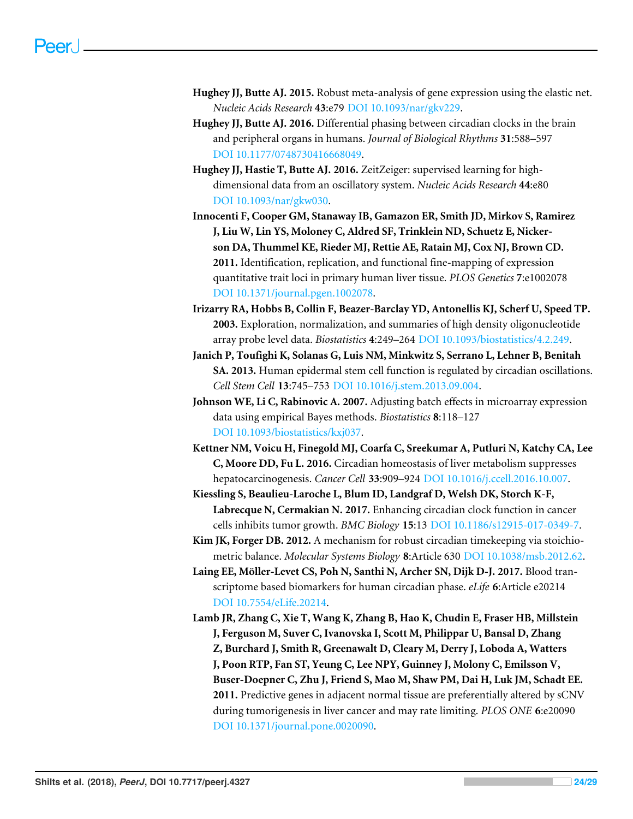- <span id="page-23-4"></span>**Hughey JJ, Butte AJ. 2015.** Robust meta-analysis of gene expression using the elastic net. *Nucleic Acids Research* **43**:e79 [DOI 10.1093/nar/gkv229.](http://dx.doi.org/10.1093/nar/gkv229)
- <span id="page-23-7"></span>**Hughey JJ, Butte AJ. 2016.** Differential phasing between circadian clocks in the brain and peripheral organs in humans. *Journal of Biological Rhythms* **31**:588–597 [DOI 10.1177/0748730416668049.](http://dx.doi.org/10.1177/0748730416668049)
- <span id="page-23-3"></span>**Hughey JJ, Hastie T, Butte AJ. 2016.** ZeitZeiger: supervised learning for highdimensional data from an oscillatory system. *Nucleic Acids Research* **44**:e80 [DOI 10.1093/nar/gkw030.](http://dx.doi.org/10.1093/nar/gkw030)
- <span id="page-23-9"></span>**Innocenti F, Cooper GM, Stanaway IB, Gamazon ER, Smith JD, Mirkov S, Ramirez J, Liu W, Lin YS, Moloney C, Aldred SF, Trinklein ND, Schuetz E, Nickerson DA, Thummel KE, Rieder MJ, Rettie AE, Ratain MJ, Cox NJ, Brown CD. 2011.** Identification, replication, and functional fine-mapping of expression quantitative trait loci in primary human liver tissue. *PLOS Genetics* **7**:e1002078 [DOI 10.1371/journal.pgen.1002078.](http://dx.doi.org/10.1371/journal.pgen.1002078)
- <span id="page-23-5"></span>**Irizarry RA, Hobbs B, Collin F, Beazer-Barclay YD, Antonellis KJ, Scherf U, Speed TP. 2003.** Exploration, normalization, and summaries of high density oligonucleotide array probe level data. *Biostatistics* **4**:249–264 [DOI 10.1093/biostatistics/4.2.249.](http://dx.doi.org/10.1093/biostatistics/4.2.249)
- <span id="page-23-8"></span>**Janich P, Toufighi K, Solanas G, Luis NM, Minkwitz S, Serrano L, Lehner B, Benitah SA. 2013.** Human epidermal stem cell function is regulated by circadian oscillations. *Cell Stem Cell* **13**:745–753 [DOI 10.1016/j.stem.2013.09.004.](http://dx.doi.org/10.1016/j.stem.2013.09.004)
- <span id="page-23-6"></span>**Johnson WE, Li C, Rabinovic A. 2007.** Adjusting batch effects in microarray expression data using empirical Bayes methods. *Biostatistics* **8**:118–127 [DOI 10.1093/biostatistics/kxj037.](http://dx.doi.org/10.1093/biostatistics/kxj037)
- <span id="page-23-0"></span>**Kettner NM, Voicu H, Finegold MJ, Coarfa C, Sreekumar A, Putluri N, Katchy CA, Lee C, Moore DD, Fu L. 2016.** Circadian homeostasis of liver metabolism suppresses hepatocarcinogenesis. *Cancer Cell* **33**:909–924 [DOI 10.1016/j.ccell.2016.10.007.](http://dx.doi.org/10.1016/j.ccell.2016.10.007)
- <span id="page-23-1"></span>**Kiessling S, Beaulieu-Laroche L, Blum ID, Landgraf D, Welsh DK, Storch K-F, Labrecque N, Cermakian N. 2017.** Enhancing circadian clock function in cancer cells inhibits tumor growth. *BMC Biology* **15**:13 [DOI 10.1186/s12915-017-0349-7.](http://dx.doi.org/10.1186/s12915-017-0349-7)
- <span id="page-23-11"></span>**Kim JK, Forger DB. 2012.** A mechanism for robust circadian timekeeping via stoichiometric balance. *Molecular Systems Biology* **8**:Article 630 [DOI 10.1038/msb.2012.62.](http://dx.doi.org/10.1038/msb.2012.62)
- <span id="page-23-2"></span>**Laing EE, Möller-Levet CS, Poh N, Santhi N, Archer SN, Dijk D-J. 2017.** Blood transcriptome based biomarkers for human circadian phase. *eLife* **6**:Article e20214 [DOI 10.7554/eLife.20214.](http://dx.doi.org/10.7554/eLife.20214)
- <span id="page-23-10"></span>**Lamb JR, Zhang C, Xie T, Wang K, Zhang B, Hao K, Chudin E, Fraser HB, Millstein J, Ferguson M, Suver C, Ivanovska I, Scott M, Philippar U, Bansal D, Zhang Z, Burchard J, Smith R, Greenawalt D, Cleary M, Derry J, Loboda A, Watters J, Poon RTP, Fan ST, Yeung C, Lee NPY, Guinney J, Molony C, Emilsson V, Buser-Doepner C, Zhu J, Friend S, Mao M, Shaw PM, Dai H, Luk JM, Schadt EE. 2011.** Predictive genes in adjacent normal tissue are preferentially altered by sCNV during tumorigenesis in liver cancer and may rate limiting. *PLOS ONE* **6**:e20090 [DOI 10.1371/journal.pone.0020090.](http://dx.doi.org/10.1371/journal.pone.0020090)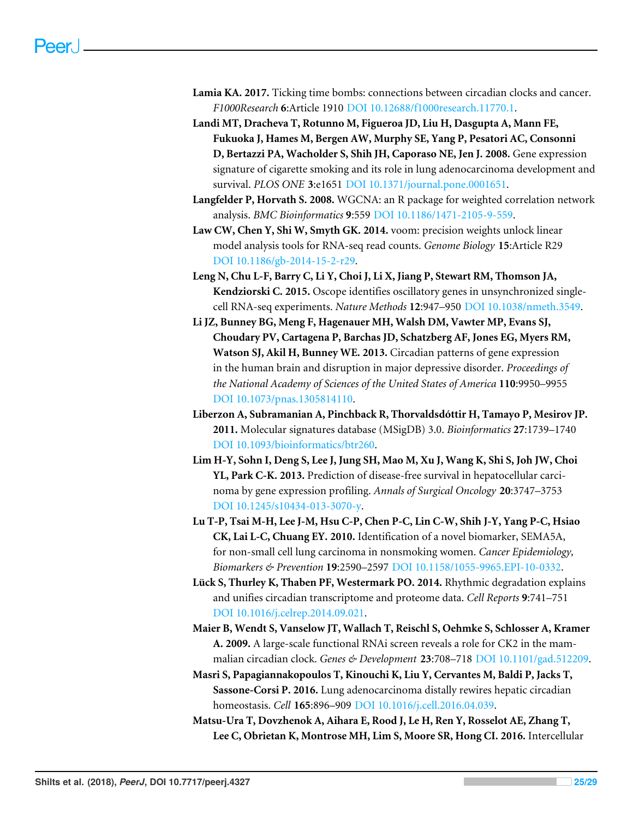- <span id="page-24-10"></span>**Lamia KA. 2017.** Ticking time bombs: connections between circadian clocks and cancer. *F1000Research* **6**:Article 1910 [DOI 10.12688/f1000research.11770.1.](http://dx.doi.org/10.12688/f1000research.11770.1)
- <span id="page-24-7"></span>**Landi MT, Dracheva T, Rotunno M, Figueroa JD, Liu H, Dasgupta A, Mann FE, Fukuoka J, Hames M, Bergen AW, Murphy SE, Yang P, Pesatori AC, Consonni D, Bertazzi PA, Wacholder S, Shih JH, Caporaso NE, Jen J. 2008.** Gene expression signature of cigarette smoking and its role in lung adenocarcinoma development and survival. *PLOS ONE* **3**:e1651 [DOI 10.1371/journal.pone.0001651.](http://dx.doi.org/10.1371/journal.pone.0001651)
- <span id="page-24-3"></span>**Langfelder P, Horvath S. 2008.** WGCNA: an R package for weighted correlation network analysis. *BMC Bioinformatics* **9**:559 [DOI 10.1186/1471-2105-9-559.](http://dx.doi.org/10.1186/1471-2105-9-559)
- <span id="page-24-2"></span>**Law CW, Chen Y, Shi W, Smyth GK. 2014.** voom: precision weights unlock linear model analysis tools for RNA-seq read counts. *Genome Biology* **15**:Article R29 [DOI 10.1186/gb-2014-15-2-r29.](http://dx.doi.org/10.1186/gb-2014-15-2-r29)
- <span id="page-24-1"></span>**Leng N, Chu L-F, Barry C, Li Y, Choi J, Li X, Jiang P, Stewart RM, Thomson JA, Kendziorski C. 2015.** Oscope identifies oscillatory genes in unsynchronized singlecell RNA-seq experiments. *Nature Methods* **12**:947–950 [DOI 10.1038/nmeth.3549.](http://dx.doi.org/10.1038/nmeth.3549)
- <span id="page-24-5"></span>**Li JZ, Bunney BG, Meng F, Hagenauer MH, Walsh DM, Vawter MP, Evans SJ, Choudary PV, Cartagena P, Barchas JD, Schatzberg AF, Jones EG, Myers RM, Watson SJ, Akil H, Bunney WE. 2013.** Circadian patterns of gene expression in the human brain and disruption in major depressive disorder. *Proceedings of the National Academy of Sciences of the United States of America* **110**:9950–9955 [DOI 10.1073/pnas.1305814110.](http://dx.doi.org/10.1073/pnas.1305814110)
- <span id="page-24-4"></span>**Liberzon A, Subramanian A, Pinchback R, Thorvaldsdóttir H, Tamayo P, Mesirov JP. 2011.** Molecular signatures database (MSigDB) 3.0. *Bioinformatics* **27**:1739–1740 [DOI 10.1093/bioinformatics/btr260.](http://dx.doi.org/10.1093/bioinformatics/btr260)
- <span id="page-24-9"></span>**Lim H-Y, Sohn I, Deng S, Lee J, Jung SH, Mao M, Xu J, Wang K, Shi S, Joh JW, Choi YL, Park C-K. 2013.** Prediction of disease-free survival in hepatocellular carcinoma by gene expression profiling. *Annals of Surgical Oncology* **20**:3747–3753 [DOI 10.1245/s10434-013-3070-y.](http://dx.doi.org/10.1245/s10434-013-3070-y)
- <span id="page-24-8"></span>**Lu T-P, Tsai M-H, Lee J-M, Hsu C-P, Chen P-C, Lin C-W, Shih J-Y, Yang P-C, Hsiao CK, Lai L-C, Chuang EY. 2010.** Identification of a novel biomarker, SEMA5A, for non-small cell lung carcinoma in nonsmoking women. *Cancer Epidemiology, Biomarkers & Prevention* **19**:2590–2597 [DOI 10.1158/1055-9965.EPI-10-0332.](http://dx.doi.org/10.1158/1055-9965.EPI-10-0332)
- <span id="page-24-11"></span>**Lück S, Thurley K, Thaben PF, Westermark PO. 2014.** Rhythmic degradation explains and unifies circadian transcriptome and proteome data. *Cell Reports* **9**:741–751 [DOI 10.1016/j.celrep.2014.09.021.](http://dx.doi.org/10.1016/j.celrep.2014.09.021)
- <span id="page-24-6"></span>**Maier B, Wendt S, Vanselow JT, Wallach T, Reischl S, Oehmke S, Schlosser A, Kramer A. 2009.** A large-scale functional RNAi screen reveals a role for CK2 in the mammalian circadian clock. *Genes & Development* **23**:708–718 [DOI 10.1101/gad.512209.](http://dx.doi.org/10.1101/gad.512209)
- <span id="page-24-12"></span>**Masri S, Papagiannakopoulos T, Kinouchi K, Liu Y, Cervantes M, Baldi P, Jacks T, Sassone-Corsi P. 2016.** Lung adenocarcinoma distally rewires hepatic circadian homeostasis. *Cell* **165**:896–909 [DOI 10.1016/j.cell.2016.04.039.](http://dx.doi.org/10.1016/j.cell.2016.04.039)
- <span id="page-24-0"></span>**Matsu-Ura T, Dovzhenok A, Aihara E, Rood J, Le H, Ren Y, Rosselot AE, Zhang T, Lee C, Obrietan K, Montrose MH, Lim S, Moore SR, Hong CI. 2016.** Intercellular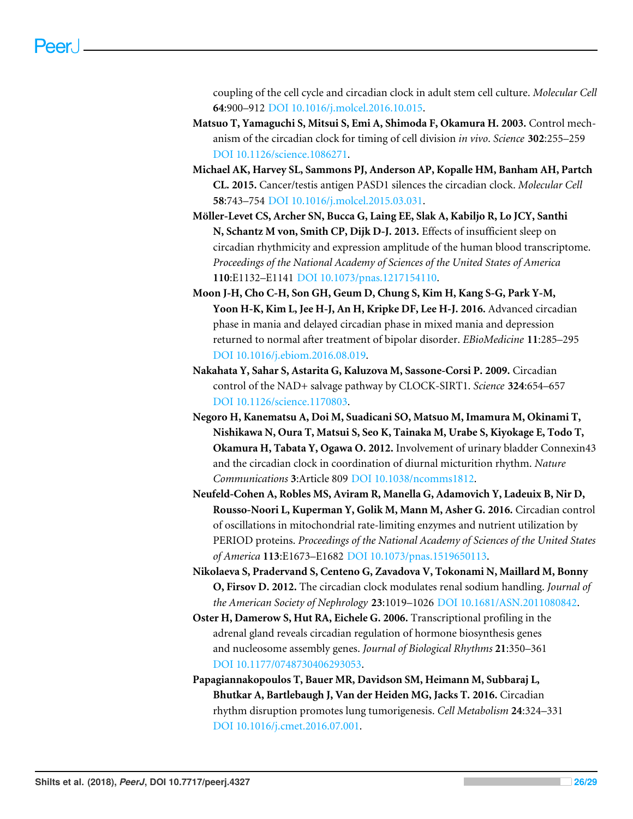coupling of the cell cycle and circadian clock in adult stem cell culture. *Molecular Cell* **64**:900–912 [DOI 10.1016/j.molcel.2016.10.015.](http://dx.doi.org/10.1016/j.molcel.2016.10.015)

- <span id="page-25-2"></span>**Matsuo T, Yamaguchi S, Mitsui S, Emi A, Shimoda F, Okamura H. 2003.** Control mechanism of the circadian clock for timing of cell division *in vivo*. *Science* **302**:255–259 [DOI 10.1126/science.1086271.](http://dx.doi.org/10.1126/science.1086271)
- <span id="page-25-4"></span>**Michael AK, Harvey SL, Sammons PJ, Anderson AP, Kopalle HM, Banham AH, Partch CL. 2015.** Cancer/testis antigen PASD1 silences the circadian clock. *Molecular Cell* **58**:743–754 [DOI 10.1016/j.molcel.2015.03.031.](http://dx.doi.org/10.1016/j.molcel.2015.03.031)
- <span id="page-25-7"></span>**Möller-Levet CS, Archer SN, Bucca G, Laing EE, Slak A, Kabiljo R, Lo JCY, Santhi N, Schantz M von, Smith CP, Dijk D-J. 2013.** Effects of insufficient sleep on circadian rhythmicity and expression amplitude of the human blood transcriptome. *Proceedings of the National Academy of Sciences of the United States of America* **110**:E1132–E1141 [DOI 10.1073/pnas.1217154110.](http://dx.doi.org/10.1073/pnas.1217154110)
- <span id="page-25-9"></span>**Moon J-H, Cho C-H, Son GH, Geum D, Chung S, Kim H, Kang S-G, Park Y-M, Yoon H-K, Kim L, Jee H-J, An H, Kripke DF, Lee H-J. 2016.** Advanced circadian phase in mania and delayed circadian phase in mixed mania and depression returned to normal after treatment of bipolar disorder. *EBioMedicine* **11**:285–295 [DOI 10.1016/j.ebiom.2016.08.019.](http://dx.doi.org/10.1016/j.ebiom.2016.08.019)
- <span id="page-25-0"></span>**Nakahata Y, Sahar S, Astarita G, Kaluzova M, Sassone-Corsi P. 2009.** Circadian control of the NAD+ salvage pathway by CLOCK-SIRT1. *Science* **324**:654–657 [DOI 10.1126/science.1170803.](http://dx.doi.org/10.1126/science.1170803)
- <span id="page-25-6"></span>**Negoro H, Kanematsu A, Doi M, Suadicani SO, Matsuo M, Imamura M, Okinami T, Nishikawa N, Oura T, Matsui S, Seo K, Tainaka M, Urabe S, Kiyokage E, Todo T, Okamura H, Tabata Y, Ogawa O. 2012.** Involvement of urinary bladder Connexin43 and the circadian clock in coordination of diurnal micturition rhythm. *Nature Communications* **3**:Article 809 [DOI 10.1038/ncomms1812.](http://dx.doi.org/10.1038/ncomms1812)
- <span id="page-25-1"></span>**Neufeld-Cohen A, Robles MS, Aviram R, Manella G, Adamovich Y, Ladeuix B, Nir D, Rousso-Noori L, Kuperman Y, Golik M, Mann M, Asher G. 2016.** Circadian control of oscillations in mitochondrial rate-limiting enzymes and nutrient utilization by PERIOD proteins. *Proceedings of the National Academy of Sciences of the United States of America* **113**:E1673–E1682 [DOI 10.1073/pnas.1519650113.](http://dx.doi.org/10.1073/pnas.1519650113)
- <span id="page-25-8"></span>**Nikolaeva S, Pradervand S, Centeno G, Zavadova V, Tokonami N, Maillard M, Bonny O, Firsov D. 2012.** The circadian clock modulates renal sodium handling. *Journal of the American Society of Nephrology* **23**:1019–1026 [DOI 10.1681/ASN.2011080842.](http://dx.doi.org/10.1681/ASN.2011080842)
- <span id="page-25-5"></span>**Oster H, Damerow S, Hut RA, Eichele G. 2006.** Transcriptional profiling in the adrenal gland reveals circadian regulation of hormone biosynthesis genes and nucleosome assembly genes. *Journal of Biological Rhythms* **21**:350–361 [DOI 10.1177/0748730406293053.](http://dx.doi.org/10.1177/0748730406293053)
- <span id="page-25-3"></span>**Papagiannakopoulos T, Bauer MR, Davidson SM, Heimann M, Subbaraj L, Bhutkar A, Bartlebaugh J, Van der Heiden MG, Jacks T. 2016.** Circadian rhythm disruption promotes lung tumorigenesis. *Cell Metabolism* **24**:324–331 [DOI 10.1016/j.cmet.2016.07.001.](http://dx.doi.org/10.1016/j.cmet.2016.07.001)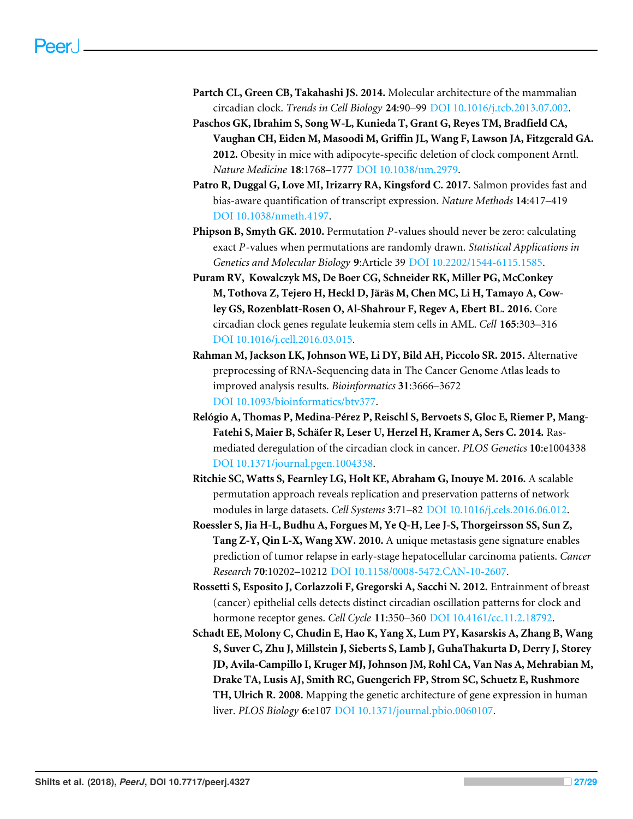- <span id="page-26-6"></span>**Partch CL, Green CB, Takahashi JS. 2014.** Molecular architecture of the mammalian circadian clock. *Trends in Cell Biology* **24**:90–99 [DOI 10.1016/j.tcb.2013.07.002.](http://dx.doi.org/10.1016/j.tcb.2013.07.002)
- <span id="page-26-9"></span>**Paschos GK, Ibrahim S, Song W-L, Kunieda T, Grant G, Reyes TM, Bradfield CA, Vaughan CH, Eiden M, Masoodi M, Griffin JL, Wang F, Lawson JA, Fitzgerald GA. 2012.** Obesity in mice with adipocyte-specific deletion of clock component Arntl. *Nature Medicine* **18**:1768–1777 [DOI 10.1038/nm.2979.](http://dx.doi.org/10.1038/nm.2979)
- <span id="page-26-3"></span>**Patro R, Duggal G, Love MI, Irizarry RA, Kingsford C. 2017.** Salmon provides fast and bias-aware quantification of transcript expression. *Nature Methods* **14**:417–419 [DOI 10.1038/nmeth.4197.](http://dx.doi.org/10.1038/nmeth.4197)
- <span id="page-26-4"></span>**Phipson B, Smyth GK. 2010.** Permutation *P*-values should never be zero: calculating exact *P*-values when permutations are randomly drawn. *Statistical Applications in Genetics and Molecular Biology* **9**:Article 39 [DOI 10.2202/1544-6115.1585.](http://dx.doi.org/10.2202/1544-6115.1585)
- <span id="page-26-10"></span>**Puram RV, Kowalczyk MS, De Boer CG, Schneider RK, Miller PG, McConkey M, Tothova Z, Tejero H, Heckl D, Järäs M, Chen MC, Li H, Tamayo A, Cowley GS, Rozenblatt-Rosen O, Al-Shahrour F, Regev A, Ebert BL. 2016.** Core circadian clock genes regulate leukemia stem cells in AML. *Cell* **165**:303–316 [DOI 10.1016/j.cell.2016.03.015.](http://dx.doi.org/10.1016/j.cell.2016.03.015)
- <span id="page-26-2"></span>**Rahman M, Jackson LK, Johnson WE, Li DY, Bild AH, Piccolo SR. 2015.** Alternative preprocessing of RNA-Sequencing data in The Cancer Genome Atlas leads to improved analysis results. *Bioinformatics* **31**:3666–3672 [DOI 10.1093/bioinformatics/btv377.](http://dx.doi.org/10.1093/bioinformatics/btv377)
- <span id="page-26-0"></span>**Relógio A, Thomas P, Medina-Pérez P, Reischl S, Bervoets S, Gloc E, Riemer P, Mang-Fatehi S, Maier B, Schäfer R, Leser U, Herzel H, Kramer A, Sers C. 2014.** Rasmediated deregulation of the circadian clock in cancer. *PLOS Genetics* **10**:e1004338 [DOI 10.1371/journal.pgen.1004338.](http://dx.doi.org/10.1371/journal.pgen.1004338)
- <span id="page-26-5"></span>**Ritchie SC, Watts S, Fearnley LG, Holt KE, Abraham G, Inouye M. 2016.** A scalable permutation approach reveals replication and preservation patterns of network modules in large datasets. *Cell Systems* **3**:71–82 [DOI 10.1016/j.cels.2016.06.012.](http://dx.doi.org/10.1016/j.cels.2016.06.012)
- <span id="page-26-8"></span>**Roessler S, Jia H-L, Budhu A, Forgues M, Ye Q-H, Lee J-S, Thorgeirsson SS, Sun Z, Tang Z-Y, Qin L-X, Wang XW. 2010.** A unique metastasis gene signature enables prediction of tumor relapse in early-stage hepatocellular carcinoma patients. *Cancer Research* **70**:10202–10212 [DOI 10.1158/0008-5472.CAN-10-2607.](http://dx.doi.org/10.1158/0008-5472.CAN-10-2607)
- <span id="page-26-1"></span>**Rossetti S, Esposito J, Corlazzoli F, Gregorski A, Sacchi N. 2012.** Entrainment of breast (cancer) epithelial cells detects distinct circadian oscillation patterns for clock and hormone receptor genes. *Cell Cycle* **11**:350–360 [DOI 10.4161/cc.11.2.18792.](http://dx.doi.org/10.4161/cc.11.2.18792)
- <span id="page-26-7"></span>**Schadt EE, Molony C, Chudin E, Hao K, Yang X, Lum PY, Kasarskis A, Zhang B, Wang S, Suver C, Zhu J, Millstein J, Sieberts S, Lamb J, GuhaThakurta D, Derry J, Storey JD, Avila-Campillo I, Kruger MJ, Johnson JM, Rohl CA, Van Nas A, Mehrabian M, Drake TA, Lusis AJ, Smith RC, Guengerich FP, Strom SC, Schuetz E, Rushmore TH, Ulrich R. 2008.** Mapping the genetic architecture of gene expression in human liver. *PLOS Biology* **6**:e107 [DOI 10.1371/journal.pbio.0060107.](http://dx.doi.org/10.1371/journal.pbio.0060107)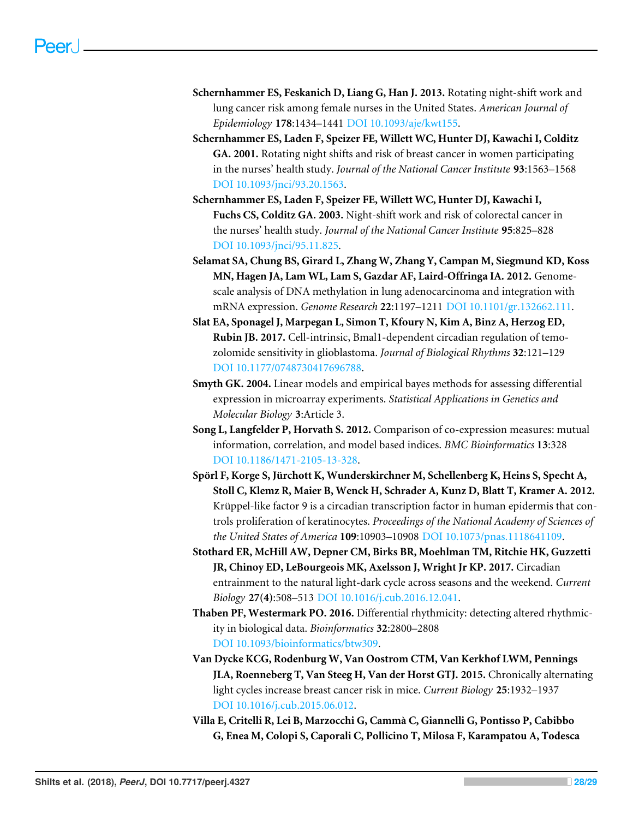- <span id="page-27-2"></span>**Schernhammer ES, Feskanich D, Liang G, Han J. 2013.** Rotating night-shift work and lung cancer risk among female nurses in the United States. *American Journal of Epidemiology* **178**:1434–1441 [DOI 10.1093/aje/kwt155.](http://dx.doi.org/10.1093/aje/kwt155)
- <span id="page-27-0"></span>**Schernhammer ES, Laden F, Speizer FE, Willett WC, Hunter DJ, Kawachi I, Colditz GA. 2001.** Rotating night shifts and risk of breast cancer in women participating in the nurses' health study. *Journal of the National Cancer Institute* **93**:1563–1568 [DOI 10.1093/jnci/93.20.1563.](http://dx.doi.org/10.1093/jnci/93.20.1563)
- <span id="page-27-1"></span>**Schernhammer ES, Laden F, Speizer FE, Willett WC, Hunter DJ, Kawachi I, Fuchs CS, Colditz GA. 2003.** Night-shift work and risk of colorectal cancer in the nurses' health study. *Journal of the National Cancer Institute* **95**:825–828 [DOI 10.1093/jnci/95.11.825.](http://dx.doi.org/10.1093/jnci/95.11.825)
- <span id="page-27-8"></span>**Selamat SA, Chung BS, Girard L, Zhang W, Zhang Y, Campan M, Siegmund KD, Koss MN, Hagen JA, Lam WL, Lam S, Gazdar AF, Laird-Offringa IA. 2012.** Genomescale analysis of DNA methylation in lung adenocarcinoma and integration with mRNA expression. *Genome Research* **22**:1197–1211 [DOI 10.1101/gr.132662.111.](http://dx.doi.org/10.1101/gr.132662.111)
- <span id="page-27-10"></span>**Slat EA, Sponagel J, Marpegan L, Simon T, Kfoury N, Kim A, Binz A, Herzog ED, Rubin JB. 2017.** Cell-intrinsic, Bmal1-dependent circadian regulation of temozolomide sensitivity in glioblastoma. *Journal of Biological Rhythms* **32**:121–129 [DOI 10.1177/0748730417696788.](http://dx.doi.org/10.1177/0748730417696788)
- <span id="page-27-6"></span>**Smyth GK. 2004.** Linear models and empirical bayes methods for assessing differential expression in microarray experiments. *Statistical Applications in Genetics and Molecular Biology* **3**:Article 3.
- <span id="page-27-5"></span>**Song L, Langfelder P, Horvath S. 2012.** Comparison of co-expression measures: mutual information, correlation, and model based indices. *BMC Bioinformatics* **13**:328 [DOI 10.1186/1471-2105-13-328.](http://dx.doi.org/10.1186/1471-2105-13-328)
- <span id="page-27-7"></span>**Spörl F, Korge S, Jürchott K, Wunderskirchner M, Schellenberg K, Heins S, Specht A, Stoll C, Klemz R, Maier B, Wenck H, Schrader A, Kunz D, Blatt T, Kramer A. 2012.** Krüppel-like factor 9 is a circadian transcription factor in human epidermis that controls proliferation of keratinocytes. *Proceedings of the National Academy of Sciences of the United States of America* **109**:10903–10908 [DOI 10.1073/pnas.1118641109.](http://dx.doi.org/10.1073/pnas.1118641109)
- <span id="page-27-11"></span>**Stothard ER, McHill AW, Depner CM, Birks BR, Moehlman TM, Ritchie HK, Guzzetti JR, Chinoy ED, LeBourgeois MK, Axelsson J, Wright Jr KP. 2017.** Circadian entrainment to the natural light-dark cycle across seasons and the weekend. *Current Biology* **27(4)**:508–513 [DOI 10.1016/j.cub.2016.12.041.](http://dx.doi.org/10.1016/j.cub.2016.12.041)
- <span id="page-27-4"></span>**Thaben PF, Westermark PO. 2016.** Differential rhythmicity: detecting altered rhythmicity in biological data. *Bioinformatics* **32**:2800–2808 [DOI 10.1093/bioinformatics/btw309.](http://dx.doi.org/10.1093/bioinformatics/btw309)
- <span id="page-27-3"></span>**Van Dycke KCG, Rodenburg W, Van Oostrom CTM, Van Kerkhof LWM, Pennings JLA, Roenneberg T, Van Steeg H, Van der Horst GTJ. 2015.** Chronically alternating light cycles increase breast cancer risk in mice. *Current Biology* **25**:1932–1937 [DOI 10.1016/j.cub.2015.06.012.](http://dx.doi.org/10.1016/j.cub.2015.06.012)
- <span id="page-27-9"></span>**Villa E, Critelli R, Lei B, Marzocchi G, Cammà C, Giannelli G, Pontisso P, Cabibbo G, Enea M, Colopi S, Caporali C, Pollicino T, Milosa F, Karampatou A, Todesca**